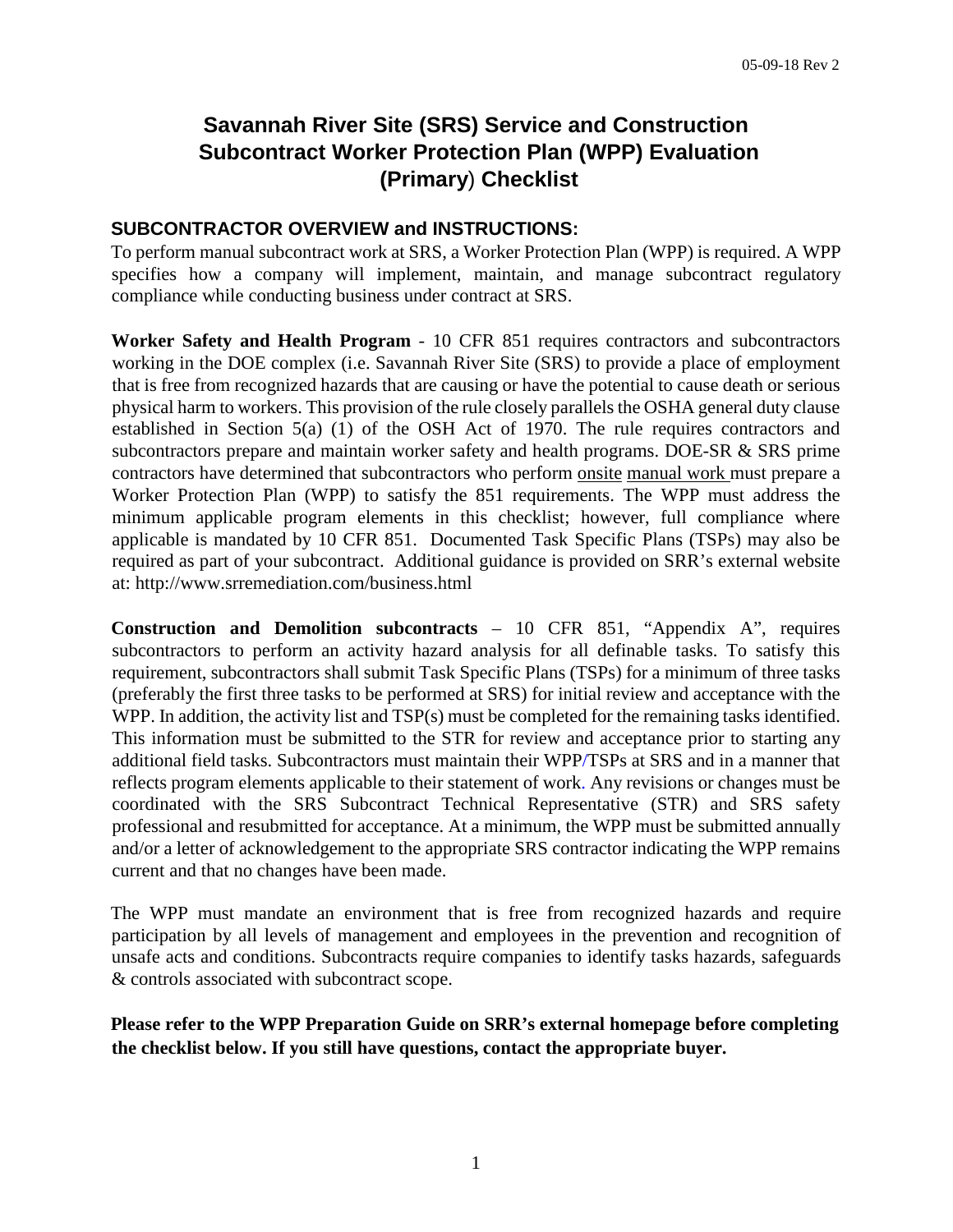# **Savannah River Site (SRS) Service and Construction Subcontract Worker Protection Plan (WPP) Evaluation (Primary**) **Checklist**

#### **SUBCONTRACTOR OVERVIEW and INSTRUCTIONS:**

To perform manual subcontract work at SRS, a Worker Protection Plan (WPP) is required. A WPP specifies how a company will implement, maintain, and manage subcontract regulatory compliance while conducting business under contract at SRS.

**Worker Safety and Health Program** - 10 CFR 851 requires contractors and subcontractors working in the DOE complex (i.e. Savannah River Site (SRS) to provide a place of employment that is free from recognized hazards that are causing or have the potential to cause death or serious physical harm to workers. This provision of the rule closely parallels the OSHA general duty clause established in Section 5(a) (1) of the OSH Act of 1970. The rule requires contractors and subcontractors prepare and maintain worker safety and health programs. DOE-SR & SRS prime contractors have determined that subcontractors who perform onsite manual work must prepare a Worker Protection Plan (WPP) to satisfy the 851 requirements. The WPP must address the minimum applicable program elements in this checklist; however, full compliance where applicable is mandated by 10 CFR 851. Documented Task Specific Plans (TSPs) may also be required as part of your subcontract. Additional guidance is provided on SRR's external website at: http://www.srremediation.com/business.html

**Construction and Demolition subcontracts** – 10 CFR 851, "Appendix A", requires subcontractors to perform an activity hazard analysis for all definable tasks. To satisfy this requirement, subcontractors shall submit Task Specific Plans (TSPs) for a minimum of three tasks (preferably the first three tasks to be performed at SRS) for initial review and acceptance with the WPP. In addition, the activity list and TSP(s) must be completed for the remaining tasks identified. This information must be submitted to the STR for review and acceptance prior to starting any additional field tasks. Subcontractors must maintain their WPP/TSPs at SRS and in a manner that reflects program elements applicable to their statement of work. Any revisions or changes must be coordinated with the SRS Subcontract Technical Representative (STR) and SRS safety professional and resubmitted for acceptance. At a minimum, the WPP must be submitted annually and/or a letter of acknowledgement to the appropriate SRS contractor indicating the WPP remains current and that no changes have been made.

The WPP must mandate an environment that is free from recognized hazards and require participation by all levels of management and employees in the prevention and recognition of unsafe acts and conditions. Subcontracts require companies to identify tasks hazards, safeguards & controls associated with subcontract scope.

**Please refer to the WPP Preparation Guide on SRR's external homepage before completing the checklist below. If you still have questions, contact the appropriate buyer.**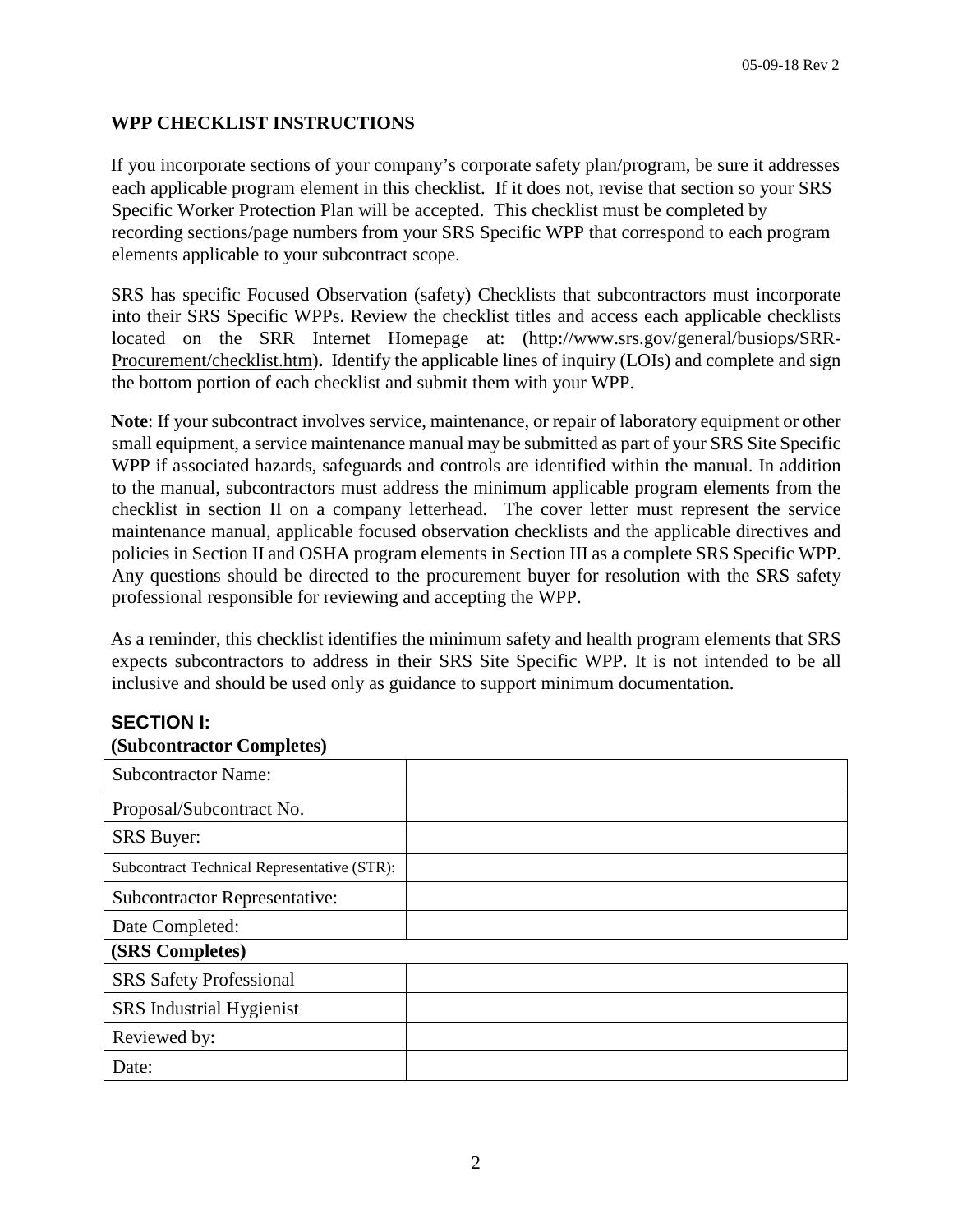### **WPP CHECKLIST INSTRUCTIONS**

If you incorporate sections of your company's corporate safety plan/program, be sure it addresses each applicable program element in this checklist. If it does not, revise that section so your SRS Specific Worker Protection Plan will be accepted.This checklist must be completed by recording sections/page numbers from your SRS Specific WPP that correspond to each program elements applicable to your subcontract scope.

SRS has specific Focused Observation (safety) Checklists that subcontractors must incorporate into their SRS Specific WPPs. Review the checklist titles and access each applicable checklists located on the SRR Internet Homepage at: (http://www.srs.gov/general/busiops/SRR-Procurement/checklist.htm)**.** Identify the applicable lines of inquiry (LOIs) and complete and sign the bottom portion of each checklist and submit them with your WPP.

**Note**: If your subcontract involves service, maintenance, or repair of laboratory equipment or other small equipment, a service maintenance manual may be submitted as part of your SRS Site Specific WPP if associated hazards, safeguards and controls are identified within the manual. In addition to the manual, subcontractors must address the minimum applicable program elements from the checklist in section II on a company letterhead. The cover letter must represent the service maintenance manual, applicable focused observation checklists and the applicable directives and policies in Section II and OSHA program elements in Section III as a complete SRS Specific WPP. Any questions should be directed to the procurement buyer for resolution with the SRS safety professional responsible for reviewing and accepting the WPP.

As a reminder, this checklist identifies the minimum safety and health program elements that SRS expects subcontractors to address in their SRS Site Specific WPP. It is not intended to be all inclusive and should be used only as guidance to support minimum documentation.

### **SECTION I:**

#### **(Subcontractor Completes)**

| <b>Subcontractor Name:</b>                  |  |
|---------------------------------------------|--|
| Proposal/Subcontract No.                    |  |
| <b>SRS</b> Buyer:                           |  |
| Subcontract Technical Representative (STR): |  |
| <b>Subcontractor Representative:</b>        |  |
| Date Completed:                             |  |
| (SRS Completes)                             |  |
| <b>SRS</b> Safety Professional              |  |
| SRS Industrial Hygienist                    |  |
| Reviewed by:                                |  |
| Date:                                       |  |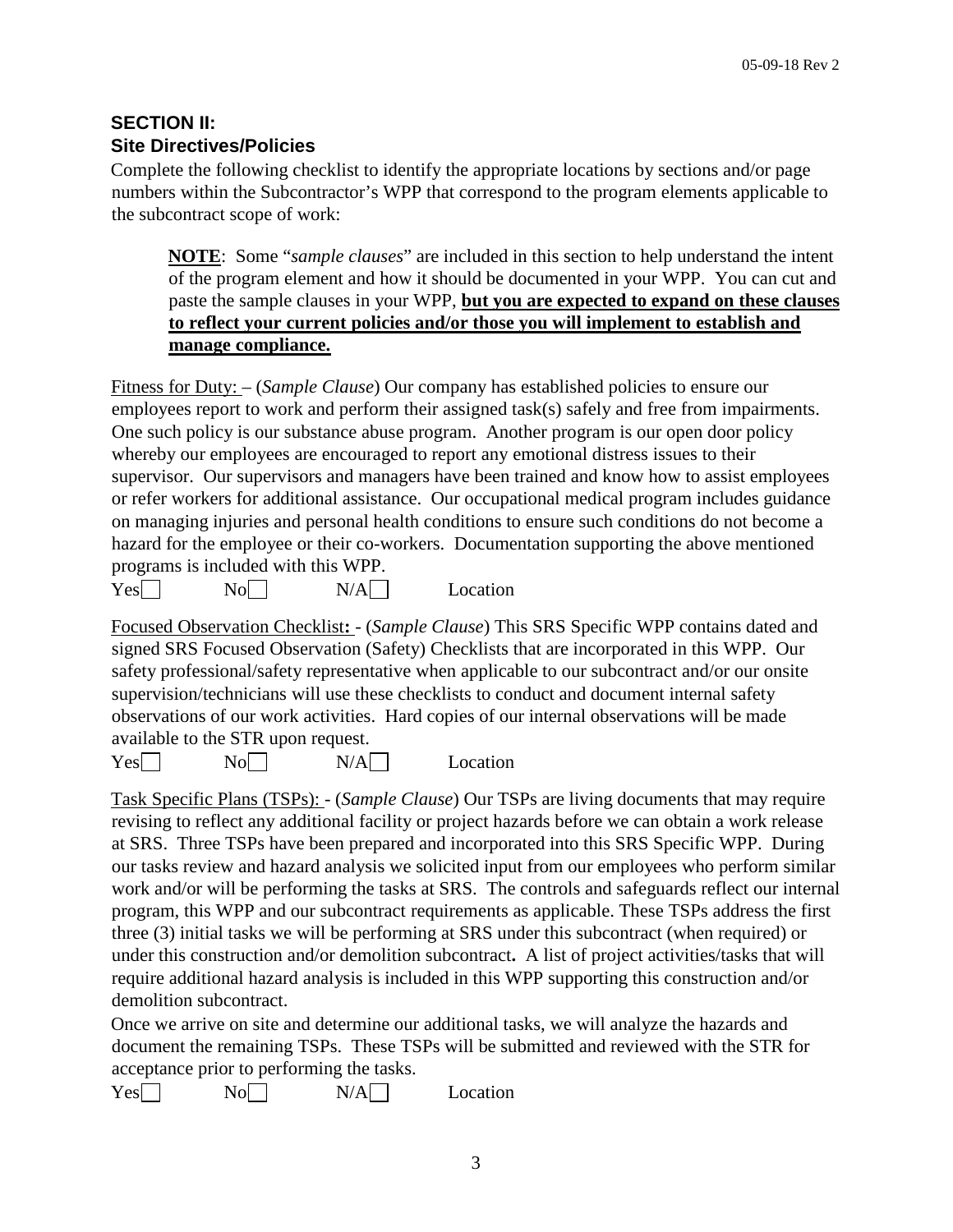### **SECTION II: Site Directives/Policies**

Complete the following checklist to identify the appropriate locations by sections and/or page numbers within the Subcontractor's WPP that correspond to the program elements applicable to the subcontract scope of work:

**NOTE**: Some "*sample clauses*" are included in this section to help understand the intent of the program element and how it should be documented in your WPP. You can cut and paste the sample clauses in your WPP, **but you are expected to expand on these clauses to reflect your current policies and/or those you will implement to establish and manage compliance.**

Fitness for Duty: – (*Sample Clause*) Our company has established policies to ensure our employees report to work and perform their assigned task(s) safely and free from impairments. One such policy is our substance abuse program. Another program is our open door policy whereby our employees are encouraged to report any emotional distress issues to their supervisor. Our supervisors and managers have been trained and know how to assist employees or refer workers for additional assistance. Our occupational medical program includes guidance on managing injuries and personal health conditions to ensure such conditions do not become a hazard for the employee or their co-workers. Documentation supporting the above mentioned programs is included with this WPP.

 $Yes \Box \qquad No \Box$   $N/A \Box$  Location

Focused Observation Checklist**:** - (*Sample Clause*) This SRS Specific WPP contains dated and signed SRS Focused Observation (Safety) Checklists that are incorporated in this WPP. Our safety professional/safety representative when applicable to our subcontract and/or our onsite supervision/technicians will use these checklists to conduct and document internal safety observations of our work activities. Hard copies of our internal observations will be made available to the STR upon request.

 $Yes \Box \qquad No \Box$   $N/A \Box$  Location

Task Specific Plans (TSPs): - (*Sample Clause*) Our TSPs are living documents that may require revising to reflect any additional facility or project hazards before we can obtain a work release at SRS. Three TSPs have been prepared and incorporated into this SRS Specific WPP. During our tasks review and hazard analysis we solicited input from our employees who perform similar work and/or will be performing the tasks at SRS. The controls and safeguards reflect our internal program, this WPP and our subcontract requirements as applicable. These TSPs address the first three (3) initial tasks we will be performing at SRS under this subcontract (when required) or under this construction and/or demolition subcontract**.** A list of project activities/tasks that will require additional hazard analysis is included in this WPP supporting this construction and/or demolition subcontract.

Once we arrive on site and determine our additional tasks, we will analyze the hazards and document the remaining TSPs. These TSPs will be submitted and reviewed with the STR for acceptance prior to performing the tasks.

```
Yes \Box \qquad No \Box N/A \Box Location
```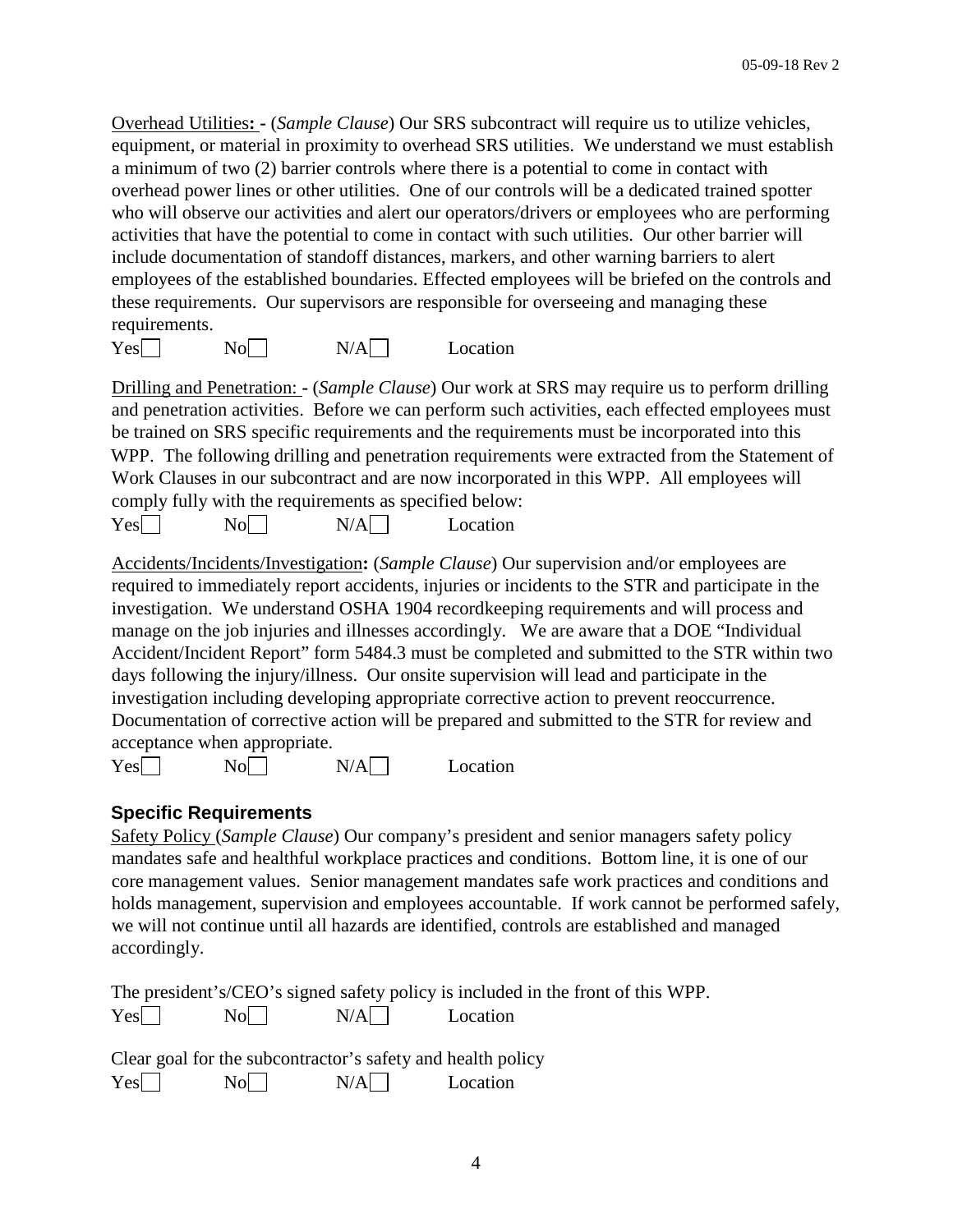Overhead Utilities**: -** (*Sample Clause*) Our SRS subcontract will require us to utilize vehicles, equipment, or material in proximity to overhead SRS utilities. We understand we must establish a minimum of two (2) barrier controls where there is a potential to come in contact with overhead power lines or other utilities. One of our controls will be a dedicated trained spotter who will observe our activities and alert our operators/drivers or employees who are performing activities that have the potential to come in contact with such utilities. Our other barrier will include documentation of standoff distances, markers, and other warning barriers to alert employees of the established boundaries. Effected employees will be briefed on the controls and these requirements. Our supervisors are responsible for overseeing and managing these requirements.

| Yes | $No^-$ | N/A | Location |
|-----|--------|-----|----------|
|-----|--------|-----|----------|

Drilling and Penetration: **-** (*Sample Clause*) Our work at SRS may require us to perform drilling and penetration activities. Before we can perform such activities, each effected employees must be trained on SRS specific requirements and the requirements must be incorporated into this WPP. The following drilling and penetration requirements were extracted from the Statement of Work Clauses in our subcontract and are now incorporated in this WPP. All employees will comply fully with the requirements as specified below:

| Yes <sub>l</sub> | No | N/A | Location |
|------------------|----|-----|----------|
|------------------|----|-----|----------|

Accidents/Incidents/Investigation**:** (*Sample Clause*) Our supervision and/or employees are required to immediately report accidents, injuries or incidents to the STR and participate in the investigation. We understand OSHA 1904 recordkeeping requirements and will process and manage on the job injuries and illnesses accordingly. We are aware that a DOE "Individual Accident/Incident Report" form 5484.3 must be completed and submitted to the STR within two days following the injury/illness. Our onsite supervision will lead and participate in the investigation including developing appropriate corrective action to prevent reoccurrence. Documentation of corrective action will be prepared and submitted to the STR for review and acceptance when appropriate.

 $Yes \Box \qquad No \Box$   $N/A \Box$  Location

### **Specific Requirements**

Safety Policy (*Sample Clause*) Our company's president and senior managers safety policy mandates safe and healthful workplace practices and conditions. Bottom line, it is one of our core management values. Senior management mandates safe work practices and conditions and holds management, supervision and employees accountable. If work cannot be performed safely, we will not continue until all hazards are identified, controls are established and managed accordingly.

The president's/CEO's signed safety policy is included in the front of this WPP.  $Yes \Box \qquad No \Box$   $N/A \Box$  Location

|     |    | Clear goal for the subcontractor's safety and health policy |          |
|-----|----|-------------------------------------------------------------|----------|
| Yes | No | N/A                                                         | Location |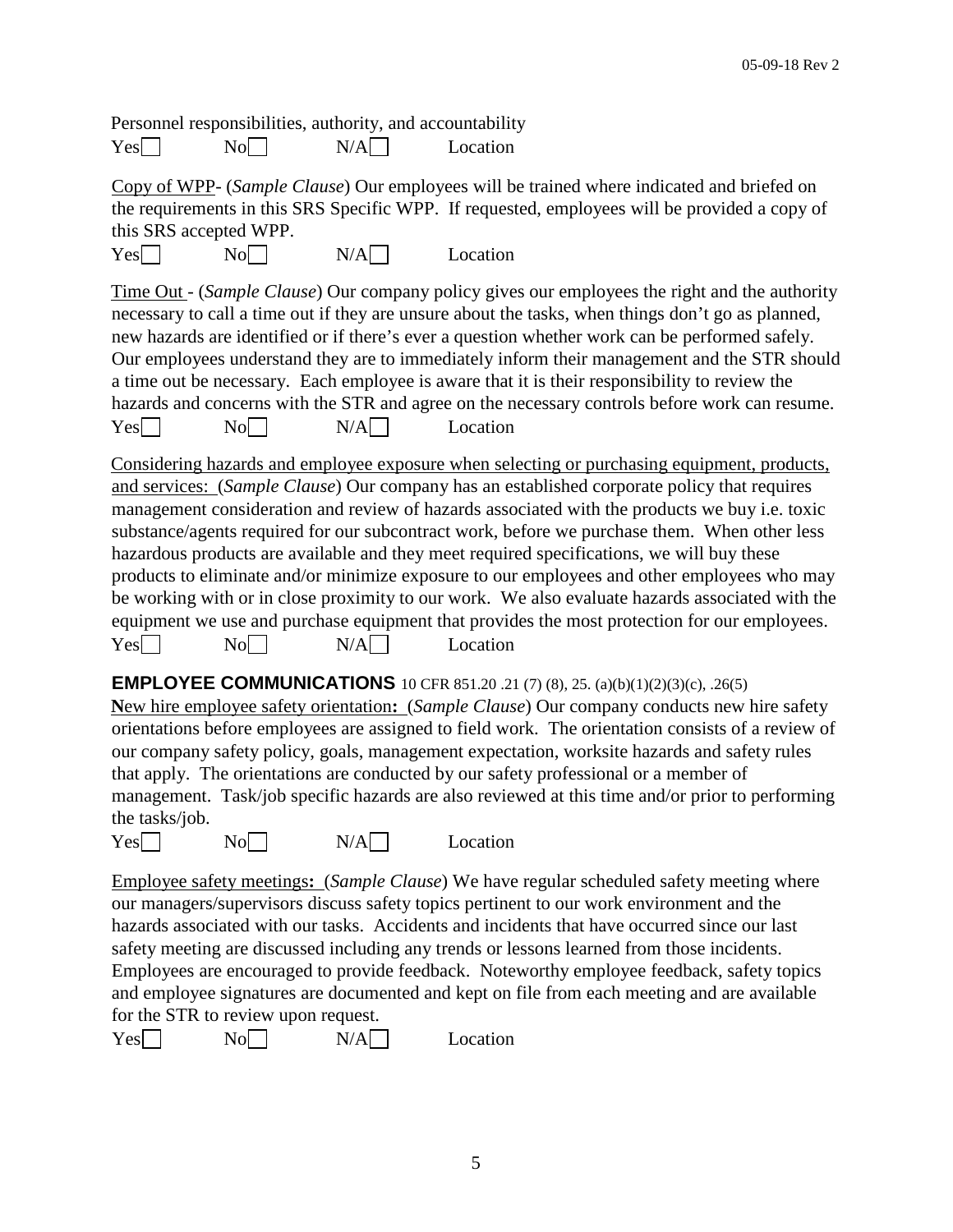Personnel responsibilities, authority, and accountability  $Yes \Box \qquad No \Box$   $N/A \Box$  Location

Copy of WPP- (*Sample Clause*) Our employees will be trained where indicated and briefed on the requirements in this SRS Specific WPP. If requested, employees will be provided a copy of this SRS accepted WPP.

 $Yes \Box \qquad No \Box$   $N/A \Box$  Location

Time Out - (*Sample Clause*) Our company policy gives our employees the right and the authority necessary to call a time out if they are unsure about the tasks, when things don't go as planned, new hazards are identified or if there's ever a question whether work can be performed safely. Our employees understand they are to immediately inform their management and the STR should a time out be necessary. Each employee is aware that it is their responsibility to review the hazards and concerns with the STR and agree on the necessary controls before work can resume.  $Yes \Box \qquad No \Box$   $N/A \Box$  Location

Considering hazards and employee exposure when selecting or purchasing equipment, products, and services: (*Sample Clause*) Our company has an established corporate policy that requires management consideration and review of hazards associated with the products we buy i.e. toxic substance/agents required for our subcontract work, before we purchase them. When other less hazardous products are available and they meet required specifications, we will buy these products to eliminate and/or minimize exposure to our employees and other employees who may be working with or in close proximity to our work. We also evaluate hazards associated with the equipment we use and purchase equipment that provides the most protection for our employees.  $Yes \Box$  No  $N/A \Box$  Location

**EMPLOYEE COMMUNICATIONS** 10 CFR 851.20 .21 (7) (8), 25. (a)(b)(1)(2)(3)(c), .26(5)

**N**ew hire employee safety orientation**:** (*Sample Clause*) Our company conducts new hire safety orientations before employees are assigned to field work. The orientation consists of a review of our company safety policy, goals, management expectation, worksite hazards and safety rules that apply. The orientations are conducted by our safety professional or a member of management. Task/job specific hazards are also reviewed at this time and/or prior to performing the tasks/job.

 $Yes \Box \qquad No \Box$   $N/A \Box$  Location

Employee safety meetings**:** (*Sample Clause*) We have regular scheduled safety meeting where our managers/supervisors discuss safety topics pertinent to our work environment and the hazards associated with our tasks. Accidents and incidents that have occurred since our last safety meeting are discussed including any trends or lessons learned from those incidents. Employees are encouraged to provide feedback. Noteworthy employee feedback, safety topics and employee signatures are documented and kept on file from each meeting and are available for the STR to review upon request.

| Yes | No | N/A | Location |
|-----|----|-----|----------|
|-----|----|-----|----------|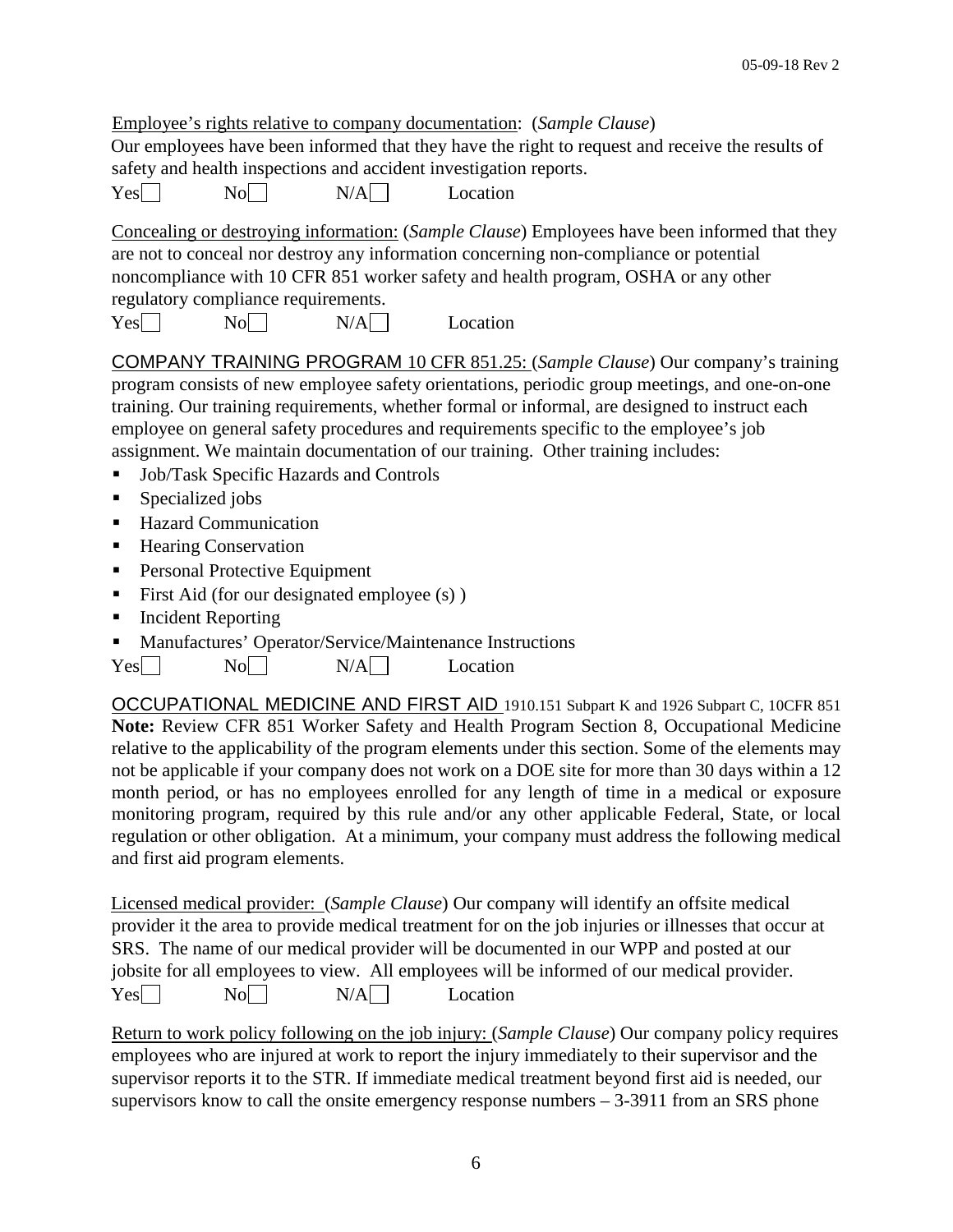|     |                                             |     | Employee's rights relative to company documentation: (Sample Clause)                                                                                                                                                                                                                                                                                                       |
|-----|---------------------------------------------|-----|----------------------------------------------------------------------------------------------------------------------------------------------------------------------------------------------------------------------------------------------------------------------------------------------------------------------------------------------------------------------------|
|     |                                             |     | Our employees have been informed that they have the right to request and receive the results of                                                                                                                                                                                                                                                                            |
|     |                                             |     | safety and health inspections and accident investigation reports.                                                                                                                                                                                                                                                                                                          |
| Yes | $\overline{N_0}$                            | N/A | Location                                                                                                                                                                                                                                                                                                                                                                   |
|     |                                             |     | Concealing or destroying information: (Sample Clause) Employees have been informed that they<br>are not to conceal nor destroy any information concerning non-compliance or potential<br>noncompliance with 10 CFR 851 worker safety and health program, OSHA or any other                                                                                                 |
|     | regulatory compliance requirements.         |     |                                                                                                                                                                                                                                                                                                                                                                            |
| Yes | No                                          | N/A | Location                                                                                                                                                                                                                                                                                                                                                                   |
|     |                                             |     | COMPANY TRAINING PROGRAM 10 CFR 851.25: (Sample Clause) Our company's training<br>program consists of new employee safety orientations, periodic group meetings, and one-on-one<br>training. Our training requirements, whether formal or informal, are designed to instruct each<br>employee on general safety procedures and requirements specific to the employee's job |
|     |                                             |     | assignment. We maintain documentation of our training. Other training includes:                                                                                                                                                                                                                                                                                            |
| п   | Job/Task Specific Hazards and Controls      |     |                                                                                                                                                                                                                                                                                                                                                                            |
| п   | Specialized jobs                            |     |                                                                                                                                                                                                                                                                                                                                                                            |
| ٠   | <b>Hazard Communication</b>                 |     |                                                                                                                                                                                                                                                                                                                                                                            |
| ٠   | <b>Hearing Conservation</b>                 |     |                                                                                                                                                                                                                                                                                                                                                                            |
| Ξ   | Personal Protective Equipment               |     |                                                                                                                                                                                                                                                                                                                                                                            |
| п   | First Aid (for our designated employee (s)) |     |                                                                                                                                                                                                                                                                                                                                                                            |

- Incident Reporting
- Manufactures' Operator/Service/Maintenance Instructions

OCCUPATIONAL MEDICINE AND FIRST AID 1910.151 Subpart K and 1926 Subpart C, 10CFR 851 **Note:** Review CFR 851 Worker Safety and Health Program Section 8, Occupational Medicine relative to the applicability of the program elements under this section. Some of the elements may not be applicable if your company does not work on a DOE site for more than 30 days within a 12 month period, or has no employees enrolled for any length of time in a medical or exposure monitoring program, required by this rule and/or any other applicable Federal, State, or local regulation or other obligation. At a minimum, your company must address the following medical and first aid program elements.

Licensed medical provider: (*Sample Clause*) Our company will identify an offsite medical provider it the area to provide medical treatment for on the job injuries or illnesses that occur at SRS. The name of our medical provider will be documented in our WPP and posted at our jobsite for all employees to view. All employees will be informed of our medical provider.  $Yes \Box \qquad No \Box$   $N/A \Box$  Location

Return to work policy following on the job injury: (*Sample Clause*) Our company policy requires employees who are injured at work to report the injury immediately to their supervisor and the supervisor reports it to the STR. If immediate medical treatment beyond first aid is needed, our supervisors know to call the onsite emergency response numbers  $-3-3911$  from an SRS phone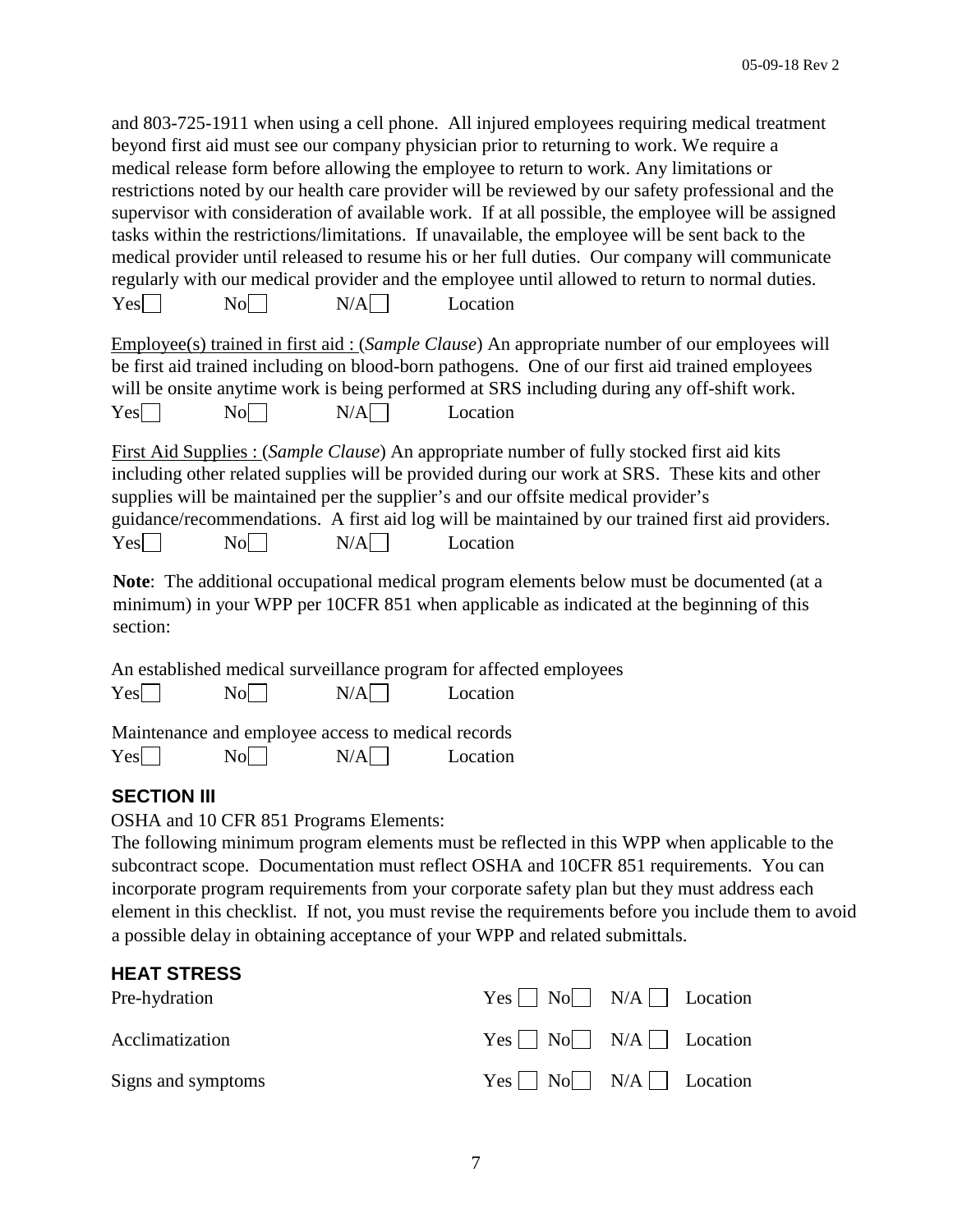and 803-725-1911 when using a cell phone. All injured employees requiring medical treatment beyond first aid must see our company physician prior to returning to work. We require a medical release form before allowing the employee to return to work. Any limitations or restrictions noted by our health care provider will be reviewed by our safety professional and the supervisor with consideration of available work. If at all possible, the employee will be assigned tasks within the restrictions/limitations. If unavailable, the employee will be sent back to the medical provider until released to resume his or her full duties. Our company will communicate regularly with our medical provider and the employee until allowed to return to normal duties.  $Yes \Box$  No  $N/A \Box$  Location

|     |    |       |          | Employee(s) trained in first aid: ( <i>Sample Clause</i> ) An appropriate number of our employees will |
|-----|----|-------|----------|--------------------------------------------------------------------------------------------------------|
|     |    |       |          | be first aid trained including on blood-born pathogens. One of our first aid trained employees         |
|     |    |       |          | will be onsite anytime work is being performed at SRS including during any off-shift work.             |
| Yes | No | $N/A$ | Location |                                                                                                        |

First Aid Supplies : (*Sample Clause*) An appropriate number of fully stocked first aid kits including other related supplies will be provided during our work at SRS. These kits and other supplies will be maintained per the supplier's and our offsite medical provider's guidance/recommendations. A first aid log will be maintained by our trained first aid providers.  $Yes \Box \qquad No \Box$   $N/A \Box$  Location

**Note**: The additional occupational medical program elements below must be documented (at a minimum) in your WPP per 10CFR 851 when applicable as indicated at the beginning of this section:

|  |                                               | An established medical surveillance program for affected employees |
|--|-----------------------------------------------|--------------------------------------------------------------------|
|  | $Yes \Box \qquad No \Box$ $N/A \Box$ Location |                                                                    |
|  |                                               |                                                                    |

Maintenance and employee access to medical records

| Yes | No | N/A | Location |
|-----|----|-----|----------|
|-----|----|-----|----------|

### **SECTION III**

OSHA and 10 CFR 851 Programs Elements:

The following minimum program elements must be reflected in this WPP when applicable to the subcontract scope. Documentation must reflect OSHA and 10CFR 851 requirements. You can incorporate program requirements from your corporate safety plan but they must address each element in this checklist. If not, you must revise the requirements before you include them to avoid a possible delay in obtaining acceptance of your WPP and related submittals.

| <b>HEAT STRESS</b> |                                                                       |
|--------------------|-----------------------------------------------------------------------|
| Pre-hydration      | $Yes \nightharpoonup No \nightharpoonup N/A \nightharpoonup Location$ |
| Acclimatization    | $Yes \nightharpoonup No \nightharpoonup N/A \nightharpoonup Location$ |
| Signs and symptoms | $Yes \tNo \tN/A \tC$ Location                                         |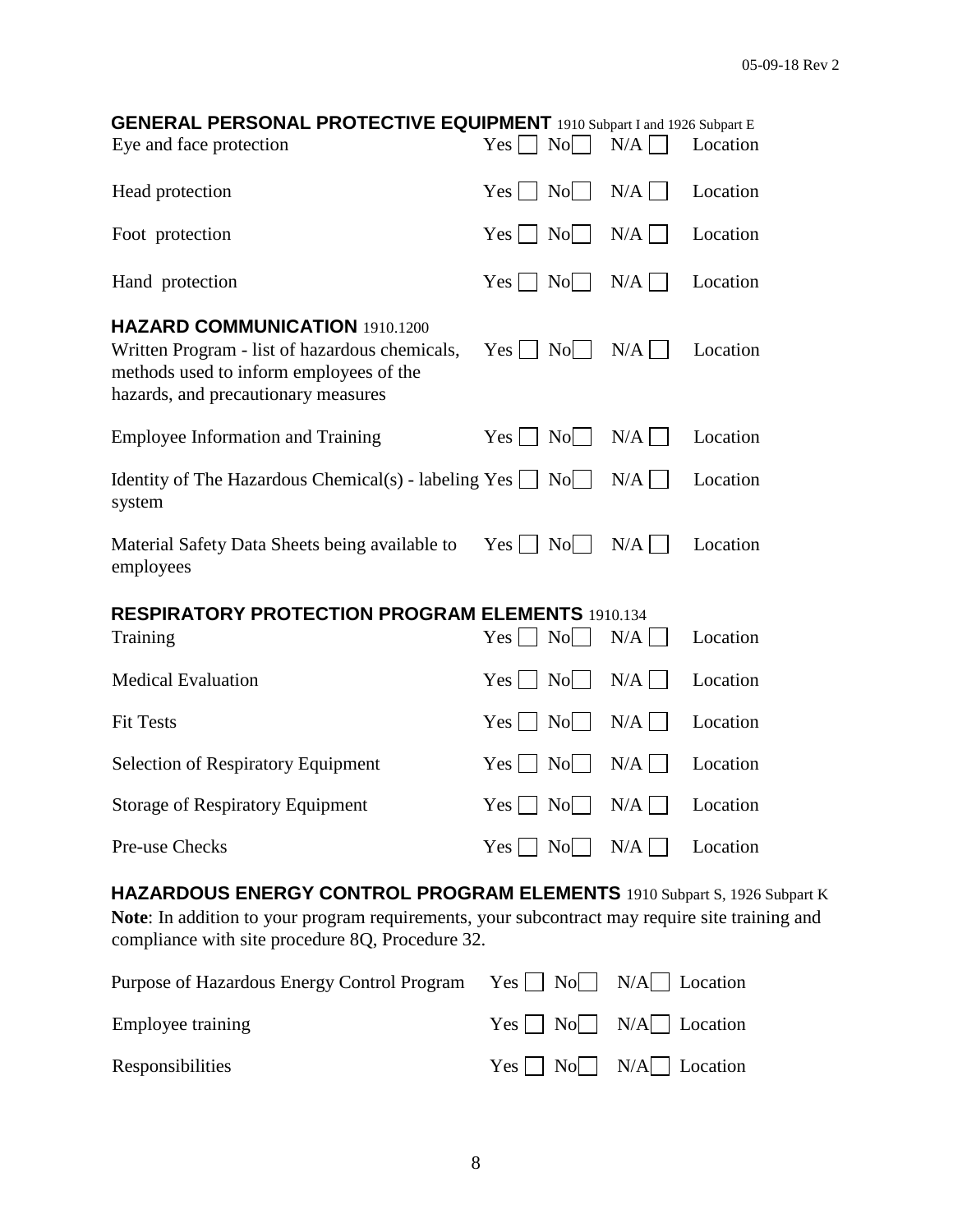| <b>GENERAL PERSONAL PROTECTIVE EQUIPMENT</b> 1910 Subpart I and 1926 Subpart E                                                                                                    |                                          |                                  |                       |          |
|-----------------------------------------------------------------------------------------------------------------------------------------------------------------------------------|------------------------------------------|----------------------------------|-----------------------|----------|
| Eye and face protection                                                                                                                                                           | $Yes$                                    | $\overline{N_0}$                 | N/A                   | Location |
| Head protection                                                                                                                                                                   | $Yes \Box No \Box$                       |                                  | N/A                   | Location |
| Foot protection                                                                                                                                                                   | $Yes \Box No \Box$                       |                                  | N/A                   | Location |
| Hand protection                                                                                                                                                                   | $Yes \Box No$                            | $\Box$                           | N/A                   | Location |
| <b>HAZARD COMMUNICATION 1910.1200</b><br>Written Program - list of hazardous chemicals,<br>methods used to inform employees of the<br>hazards, and precautionary measures         | $Yes \Box No \Box$                       |                                  | N/A                   | Location |
| <b>Employee Information and Training</b>                                                                                                                                          | $Yes \Box No \Box$                       |                                  | N/A                   | Location |
| Identity of The Hazardous Chemical(s) - labeling $Yes \fbox{} No \fbox{}$<br>system                                                                                               |                                          |                                  | N/A                   | Location |
| Material Safety Data Sheets being available to<br>employees                                                                                                                       | $Yes \nightharpoonup No$                 |                                  | N/A                   | Location |
| <b>RESPIRATORY PROTECTION PROGRAM ELEMENTS 1910.134</b>                                                                                                                           |                                          |                                  |                       |          |
| Training                                                                                                                                                                          | $Yes \mid \text{No}$                     | $\blacksquare$                   | N/A                   | Location |
| <b>Medical Evaluation</b>                                                                                                                                                         | $Yes \mid \mid$                          | N <sub>o</sub><br>$\blacksquare$ | N/A<br>$\blacksquare$ | Location |
| <b>Fit Tests</b>                                                                                                                                                                  | $Yes \nightharpoonup No$                 | $\Box$                           | N/A<br>$\blacksquare$ | Location |
| <b>Selection of Respiratory Equipment</b>                                                                                                                                         | $Yes \Box No$                            | $\Box$                           | N/A                   | Location |
| <b>Storage of Respiratory Equipment</b>                                                                                                                                           | $Yes \nightharpoonup No \nightharpoonup$ |                                  | N/A                   | Location |
| Pre-use Checks                                                                                                                                                                    | $Yes \Box No \Box$                       |                                  | N/A                   | Location |
| <b>HAZARDOUS ENERGY CONTROL PROGRAM ELEMENTS</b> 1910 Subpart S, 1926 Subpart K<br>Note: In addition to your program requirements, your subcontract may require site training and |                                          |                                  |                       |          |

**Note**: In addition to your program requirements, your subcontract may require site training and compliance with site procedure 8Q, Procedure 32.

| Purpose of Hazardous Energy Control Program $Yes \Box No \Box N/A \Box Location$ |                                            |
|----------------------------------------------------------------------------------|--------------------------------------------|
| Employee training                                                                | $Yes \frown No \frown N/A \frown Location$ |
| Responsibilities                                                                 | $Yes \frown No \frown N/A \frown Location$ |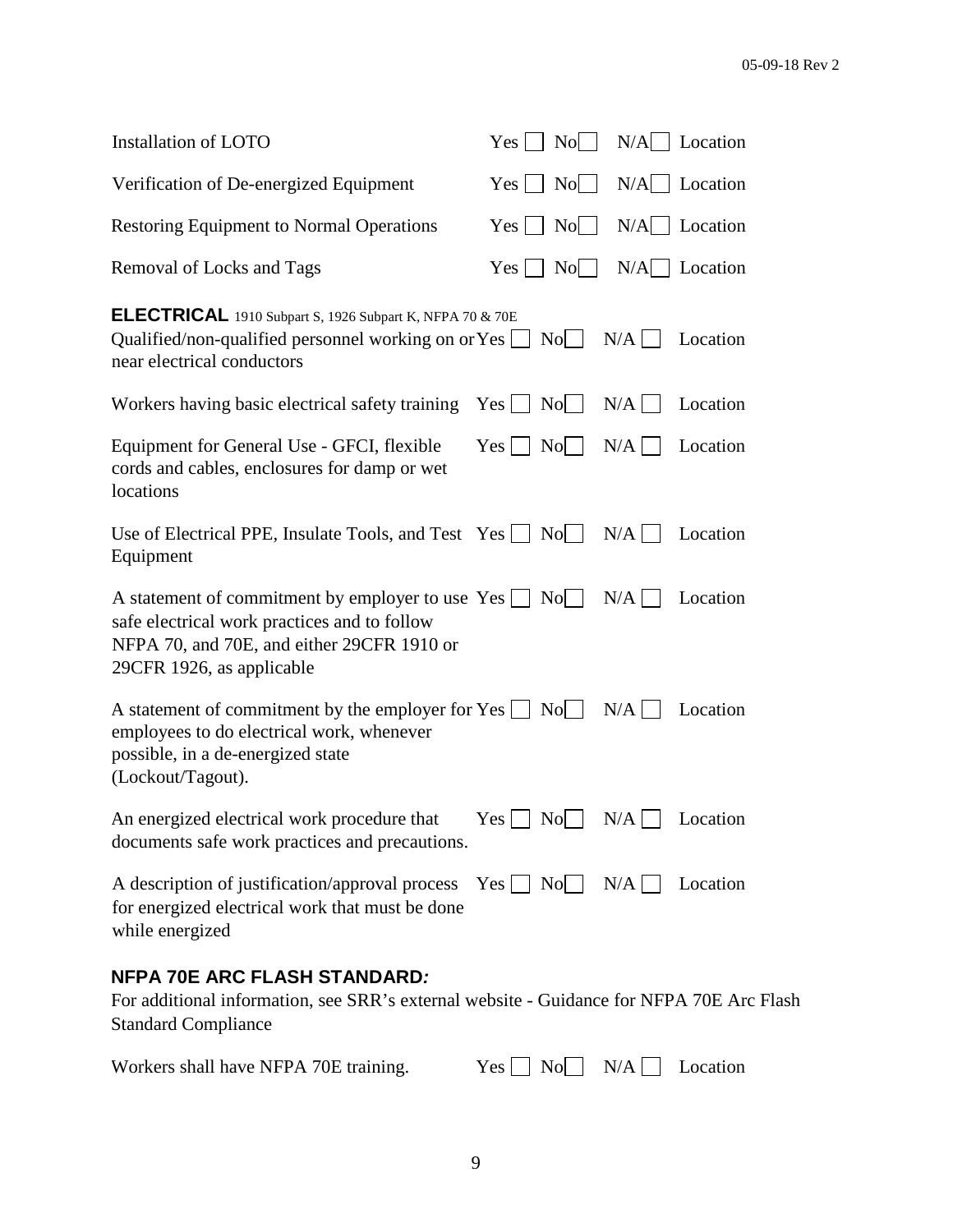| Installation of LOTO                                                                                                                                                                                                        | $Yes \tNo \tN/A \tJ$ Location                                                                                                              |                                                                      |          |
|-----------------------------------------------------------------------------------------------------------------------------------------------------------------------------------------------------------------------------|--------------------------------------------------------------------------------------------------------------------------------------------|----------------------------------------------------------------------|----------|
| Verification of De-energized Equipment                                                                                                                                                                                      | $Yes \mid No \mid N/A \mid$ Location                                                                                                       |                                                                      |          |
| <b>Restoring Equipment to Normal Operations</b>                                                                                                                                                                             | $Yes \n\begin{array}{ c c c c c } \n\hline\nNo \n\end{array} \n\quad N/A \n\begin{array}{ c c c c c } \n\hline\nNo \n\end{array} Location$ |                                                                      |          |
| Removal of Locks and Tags                                                                                                                                                                                                   | $Yes \tNo \tN/A \tC$ Location                                                                                                              |                                                                      |          |
| ELECTRICAL 1910 Subpart S, 1926 Subpart K, NFPA 70 & 70E<br>Qualified/non-qualified personnel working on or $Yes \Box$<br>near electrical conductors                                                                        |                                                                                                                                            | $\overline{N}$ $\overline{N}$ $\overline{A}$ $\overline{L}$ Location |          |
| Workers having basic electrical safety training $Yes \Box No \Box N/A$                                                                                                                                                      |                                                                                                                                            |                                                                      | Location |
| Equipment for General Use - GFCI, flexible<br>cords and cables, enclosures for damp or wet<br>locations                                                                                                                     | $Yes \mid \text{No} \mid \text{N/A} \mid \text{Location}$                                                                                  |                                                                      |          |
| Use of Electrical PPE, Insulate Tools, and Test Yes $\Box$ No $\Box$ N/A $\Box$<br>Equipment                                                                                                                                |                                                                                                                                            |                                                                      | Location |
| A statement of commitment by employer to use $Yes \bigsqcup No \bigsqcup N/A \bigsqcup Cocation$<br>safe electrical work practices and to follow<br>NFPA 70, and 70E, and either 29CFR 1910 or<br>29CFR 1926, as applicable |                                                                                                                                            |                                                                      |          |
| A statement of commitment by the employer for Yes $\Box$ No $\Box$ N/A $\Box$ Location<br>employees to do electrical work, whenever<br>possible, in a de-energized state<br>(Lockout/Tagout).                               |                                                                                                                                            |                                                                      |          |
| An energized electrical work procedure that $\qquad \qquad$ Yes $\Box \text{ No} \Box \text{ N/A} \Box \text{ Location}$<br>documents safe work practices and precautions.                                                  |                                                                                                                                            |                                                                      |          |
| A description of justification/approval process<br>for energized electrical work that must be done<br>while energized                                                                                                       | $Yes \quad No \quad N/A \quad$                                                                                                             |                                                                      | Location |

### **NFPA 70E ARC FLASH STANDARD***:*

For additional information, see SRR's external website - Guidance for NFPA 70E Arc Flash Standard Compliance

| Workers shall have NFPA 70E training. | $Yes \tNo \tN/A \tC$ Location |  |  |
|---------------------------------------|-------------------------------|--|--|
|---------------------------------------|-------------------------------|--|--|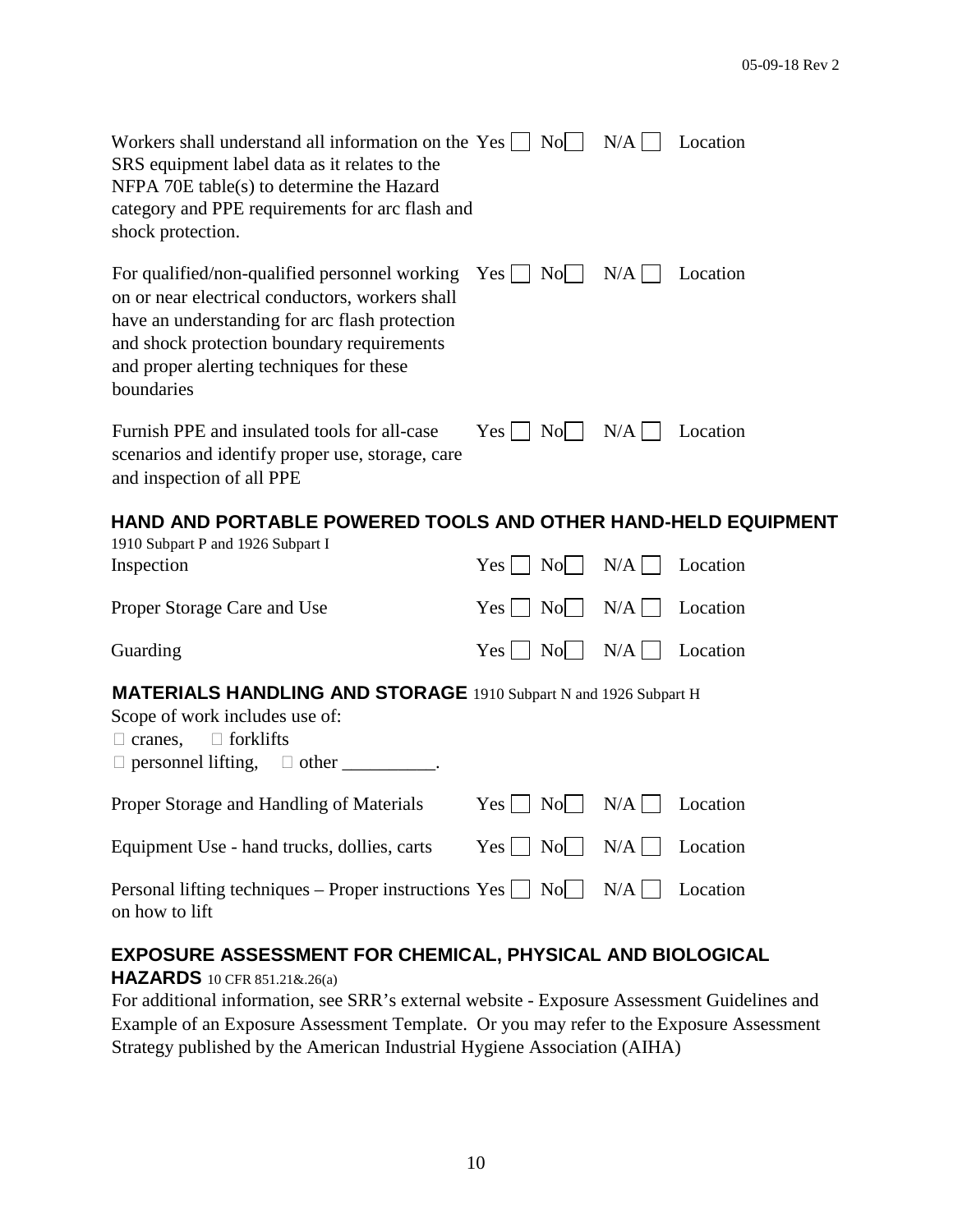| Workers shall understand all information on the Yes $\Box$ No $\Box$ N/A $\Box$<br>SRS equipment label data as it relates to the<br>NFPA 70E table(s) to determine the Hazard<br>category and PPE requirements for arc flash and<br>shock protection.                                     |                                               |     | Location |
|-------------------------------------------------------------------------------------------------------------------------------------------------------------------------------------------------------------------------------------------------------------------------------------------|-----------------------------------------------|-----|----------|
| For qualified/non-qualified personnel working $Yes \cup No \cap N/A \square$<br>on or near electrical conductors, workers shall<br>have an understanding for arc flash protection<br>and shock protection boundary requirements<br>and proper alerting techniques for these<br>boundaries |                                               |     | Location |
| Furnish PPE and insulated tools for all-case<br>scenarios and identify proper use, storage, care<br>and inspection of all PPE                                                                                                                                                             | $Yes \mid \text{No} \mid$                     | N/A | Location |
| HAND AND PORTABLE POWERED TOOLS AND OTHER HAND-HELD EQUIPMENT                                                                                                                                                                                                                             |                                               |     |          |
|                                                                                                                                                                                                                                                                                           |                                               |     |          |
| 1910 Subpart P and 1926 Subpart I<br>Inspection                                                                                                                                                                                                                                           | $Yes \mid \neg No \mid \neg$                  | N/A | Location |
| Proper Storage Care and Use                                                                                                                                                                                                                                                               | $Yes \mid No \mid$                            | N/A | Location |
| Guarding                                                                                                                                                                                                                                                                                  | $Yes \mid No \mid$                            | N/A | Location |
| <b>MATERIALS HANDLING AND STORAGE</b> 1910 Subpart N and 1926 Subpart H<br>Scope of work includes use of:<br>$\Box$ cranes, $\Box$ forklifts<br>$\Box$ personnel lifting, $\Box$ other ___________.                                                                                       |                                               |     |          |
| Proper Storage and Handling of Materials                                                                                                                                                                                                                                                  | $Yes \mid$<br>$\vert$ No $\vert$              | N/A | Location |
| Equipment Use - hand trucks, dollies, carts                                                                                                                                                                                                                                               | $Yes \mid \mid$<br>$\vert$ No $\vert$ $\vert$ | N/A | Location |

### **EXPOSURE ASSESSMENT FOR CHEMICAL, PHYSICAL AND BIOLOGICAL**

### **HAZARDS** 10 CFR 851.21&.26(a)

For additional information, see SRR's external website - Exposure Assessment Guidelines and Example of an Exposure Assessment Template. Or you may refer to the Exposure Assessment Strategy published by the American Industrial Hygiene Association (AIHA)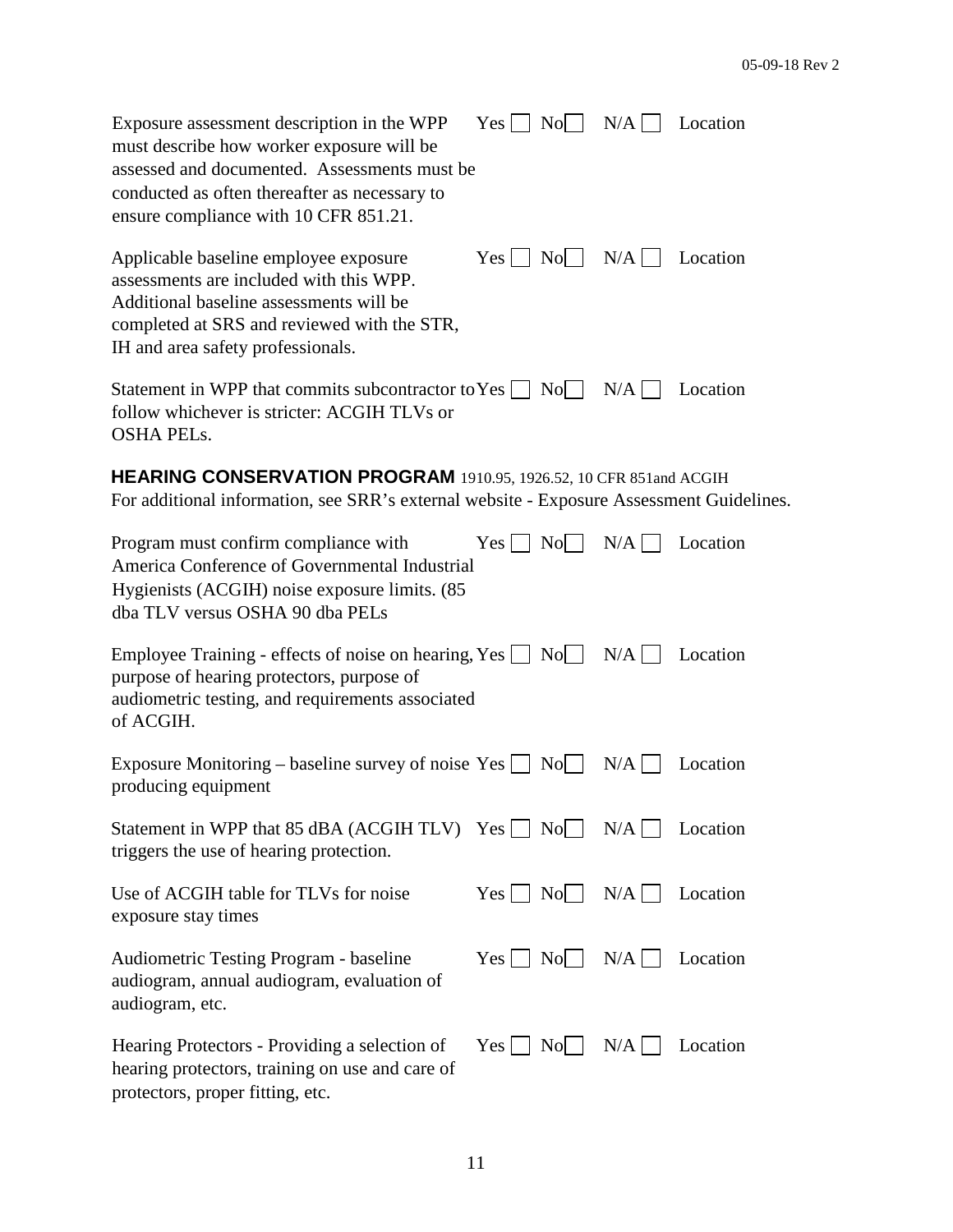| Exposure assessment description in the WPP<br>must describe how worker exposure will be<br>assessed and documented. Assessments must be<br>conducted as often thereafter as necessary to<br>ensure compliance with 10 CFR 851.21. | $Yes \nightharpoonup No \nightharpoonup N/A \nightharpoonup$ |       | Location |
|-----------------------------------------------------------------------------------------------------------------------------------------------------------------------------------------------------------------------------------|--------------------------------------------------------------|-------|----------|
| Applicable baseline employee exposure<br>assessments are included with this WPP.<br>Additional baseline assessments will be<br>completed at SRS and reviewed with the STR,<br>IH and area safety professionals.                   | $Yes \mid \text{No} \mid \text{N/A}$                         |       | Location |
| Statement in WPP that commits subcontractor to Yes $\vert$ No $\vert$ N/A $\vert$<br>follow whichever is stricter: ACGIH TLVs or<br><b>OSHA PELS.</b>                                                                             |                                                              |       | Location |
| HEARING CONSERVATION PROGRAM 1910.95, 1926.52, 10 CFR 851and ACGIH<br>For additional information, see SRR's external website - Exposure Assessment Guidelines.                                                                    |                                                              |       |          |
| Program must confirm compliance with<br>America Conference of Governmental Industrial<br>Hygienists (ACGIH) noise exposure limits. (85<br>dba TLV versus OSHA 90 dba PELs                                                         | $Yes \mid \text{No} \mid$                                    | $N/A$ | Location |
| Employee Training - effects of noise on hearing, Yes $\Box$ No $\Box$ N/A $\Box$<br>purpose of hearing protectors, purpose of<br>audiometric testing, and requirements associated<br>of ACGIH.                                    |                                                              |       | Location |
| Exposure Monitoring – baseline survey of noise $Yes \Box No \Box$<br>producing equipment                                                                                                                                          |                                                              | N/A   | Location |
| Statement in WPP that 85 dBA (ACGIH TLV) $Yes \mid \text{No} \mid$<br>triggers the use of hearing protection.                                                                                                                     |                                                              | N/A   | Location |
| Use of ACGIH table for TLVs for noise<br>exposure stay times                                                                                                                                                                      | $Yes \mid No \mid N/A \mid$                                  |       | Location |
| <b>Audiometric Testing Program - baseline</b><br>audiogram, annual audiogram, evaluation of<br>audiogram, etc.                                                                                                                    | $Yes \mid \text{No} \mid \text{ }$                           | $N/A$ | Location |
| Hearing Protectors - Providing a selection of<br>hearing protectors, training on use and care of<br>protectors, proper fitting, etc.                                                                                              | $Yes \mid \text{No} \mid$                                    | $N/A$ | Location |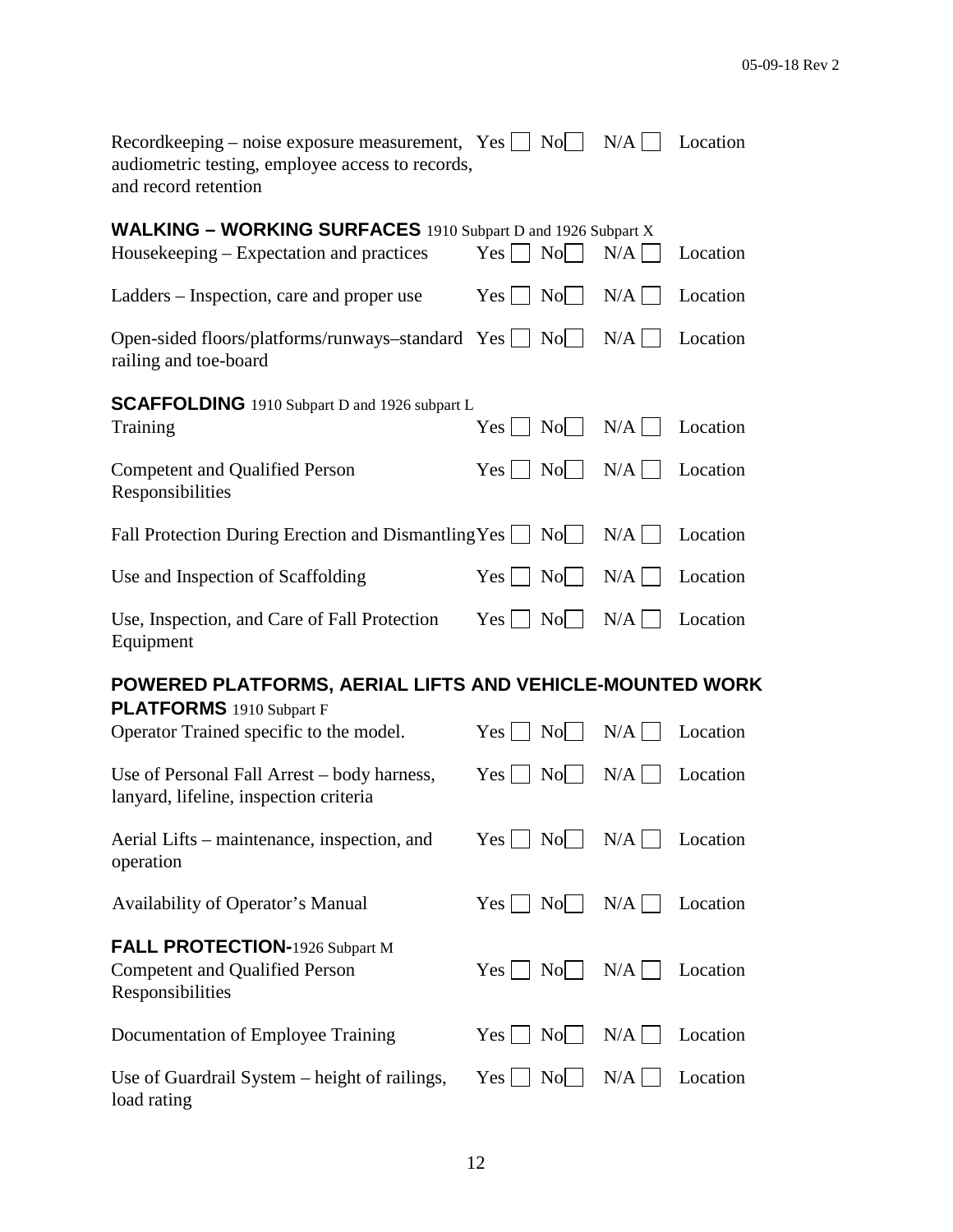| Recordkeeping – noise exposure measurement, $Yes \cup No \cup$<br>audiometric testing, employee access to records,<br>and record retention |                                                                               | $N/A$        | Location |
|--------------------------------------------------------------------------------------------------------------------------------------------|-------------------------------------------------------------------------------|--------------|----------|
| <b>WALKING - WORKING SURFACES</b> 1910 Subpart D and 1926 Subpart X<br>Housekeeping – Expectation and practices                            | $Yes \mid No \mid$                                                            | N/A          | Location |
| Ladders – Inspection, care and proper use                                                                                                  | $Yes \Box$<br>N <sub>o</sub>                                                  | N/A          | Location |
| Open-sided floors/platforms/runways-standard Yes<br>railing and toe-board                                                                  | $\overline{N_0}$                                                              | N/A          | Location |
| <b>SCAFFOLDING</b> 1910 Subpart D and 1926 subpart L<br>Training                                                                           | $\text{No}$  <br>Yes                                                          | N/A          | Location |
| <b>Competent and Qualified Person</b><br>Responsibilities                                                                                  | $\text{No}$  <br>Yes                                                          | N/A          | Location |
| Fall Protection During Erection and Dismantling Yes $\Box$ No $\Box$                                                                       |                                                                               | $N/A$        | Location |
| Use and Inspection of Scaffolding                                                                                                          | $\rm{No}$<br>$Yes$                                                            | N/A          | Location |
| Use, Inspection, and Care of Fall Protection<br>Equipment                                                                                  | $Yes \mid \mid$<br>$\overline{N}$ o                                           | $N/A$        | Location |
| POWERED PLATFORMS, AERIAL LIFTS AND VEHICLE-MOUNTED WORK                                                                                   |                                                                               |              |          |
| PLATFORMS 1910 Subpart F<br>Operator Trained specific to the model.                                                                        | $\vert$ No $\vert$ $\vert$<br>Yes                                             | N/A          | Location |
| Use of Personal Fall Arrest – body harness,<br>lanyard, lifeline, inspection criteria                                                      | $Yes \mid \cdot$<br>$\overline{N}$ o                                          | $N/A$        | Location |
| Aerial Lifts – maintenance, inspection, and<br>operation                                                                                   | $Yes \mid \text{No} \mid \text{ }$                                            | $N/A$        | Location |
| Availability of Operator's Manual                                                                                                          | $Yes \mid \text{No} \mid$                                                     | N/A          | Location |
| FALL PROTECTION-1926 Subpart M<br><b>Competent and Qualified Person</b><br>Responsibilities                                                | $Yes \mid No \mid$                                                            | N/A          | Location |
| Documentation of Employee Training                                                                                                         | $\begin{array}{c c} \hline \text{No} & \hline \end{array}$<br>$Yes \mid \mid$ | N/A          | Location |
| Use of Guardrail System – height of railings,<br>load rating                                                                               | $\rm No$<br>$Yes \mid \cdot$                                                  | $N/A$ $\Box$ | Location |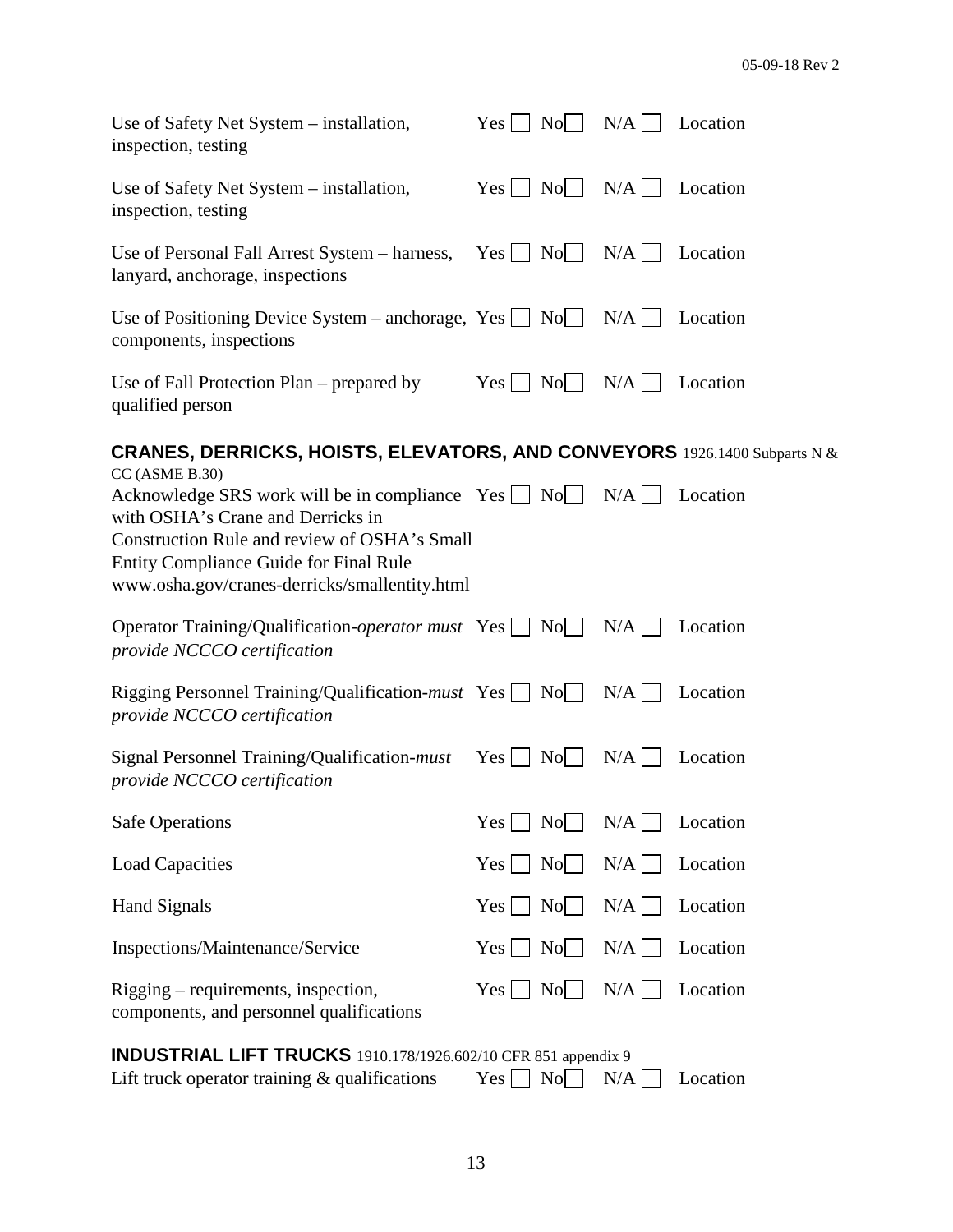| Use of Safety Net System – installation,<br>inspection, testing                                                                                                                                                                                                                 | $Yes \Box No \Box N/A \Box$       |                            | Location |
|---------------------------------------------------------------------------------------------------------------------------------------------------------------------------------------------------------------------------------------------------------------------------------|-----------------------------------|----------------------------|----------|
| Use of Safety Net System – installation,<br>inspection, testing                                                                                                                                                                                                                 | $Yes$                             | $\text{No}$   $\text{N/A}$ | Location |
| Use of Personal Fall Arrest System – harness, $Yes \cup No \cup$<br>lanyard, anchorage, inspections                                                                                                                                                                             |                                   | $N/A$                      | Location |
| Use of Positioning Device System – anchorage, Yes $\Box$ No $\Box$ N/A $\Box$<br>components, inspections                                                                                                                                                                        |                                   |                            | Location |
| Use of Fall Protection Plan – prepared by<br>qualified person                                                                                                                                                                                                                   | $Yes \mid \text{No} \mid$         | $N/A$                      | Location |
| <b>CRANES, DERRICKS, HOISTS, ELEVATORS, AND CONVEYORS</b> 1926.1400 Subparts N &                                                                                                                                                                                                |                                   |                            |          |
| CC (ASME B.30)<br>Acknowledge SRS work will be in compliance $Yes \Box No \Box N/A \Box$<br>with OSHA's Crane and Derricks in<br>Construction Rule and review of OSHA's Small<br><b>Entity Compliance Guide for Final Rule</b><br>www.osha.gov/cranes-derricks/smallentity.html |                                   |                            | Location |
| Operator Training/Qualification-operator must Yes $\Box$ No $\Box$ N/A $\Box$<br>provide NCCCO certification                                                                                                                                                                    |                                   |                            | Location |
| Rigging Personnel Training/Qualification- <i>must</i> Yes $\Box$ No<br>provide NCCCO certification                                                                                                                                                                              |                                   | $N/A$                      | Location |
| Signal Personnel Training/Qualification- <i>must</i> Yes<br>provide NCCCO certification                                                                                                                                                                                         | $\vert$ No $\vert$ $\vert$        | N/A                        | Location |
| <b>Safe Operations</b>                                                                                                                                                                                                                                                          | $\overline{N}$ o<br>Yes           | N/A                        | Location |
| <b>Load Capacities</b>                                                                                                                                                                                                                                                          | $\rm{No}$<br>Yes                  | N/A                        | Location |
| <b>Hand Signals</b>                                                                                                                                                                                                                                                             | No<br>Yes                         | N/A                        | Location |
| Inspections/Maintenance/Service                                                                                                                                                                                                                                                 | $\vert$ No $\vert$ $\vert$<br>Yes | N/A                        | Location |
| Rigging – requirements, inspection,<br>components, and personnel qualifications                                                                                                                                                                                                 | $\vert$ No $\vert$ $\vert$<br>Yes | N/A                        | Location |

## **INDUSTRIAL LIFT TRUCKS** 1910.178/1926.602/10 CFR 851 appendix 9<br>Lift truck operator training & qualifications Yes  $\Box$  No  $\Box$  N/A  $\Box$  Location Lift truck operator training  $&$  qualifications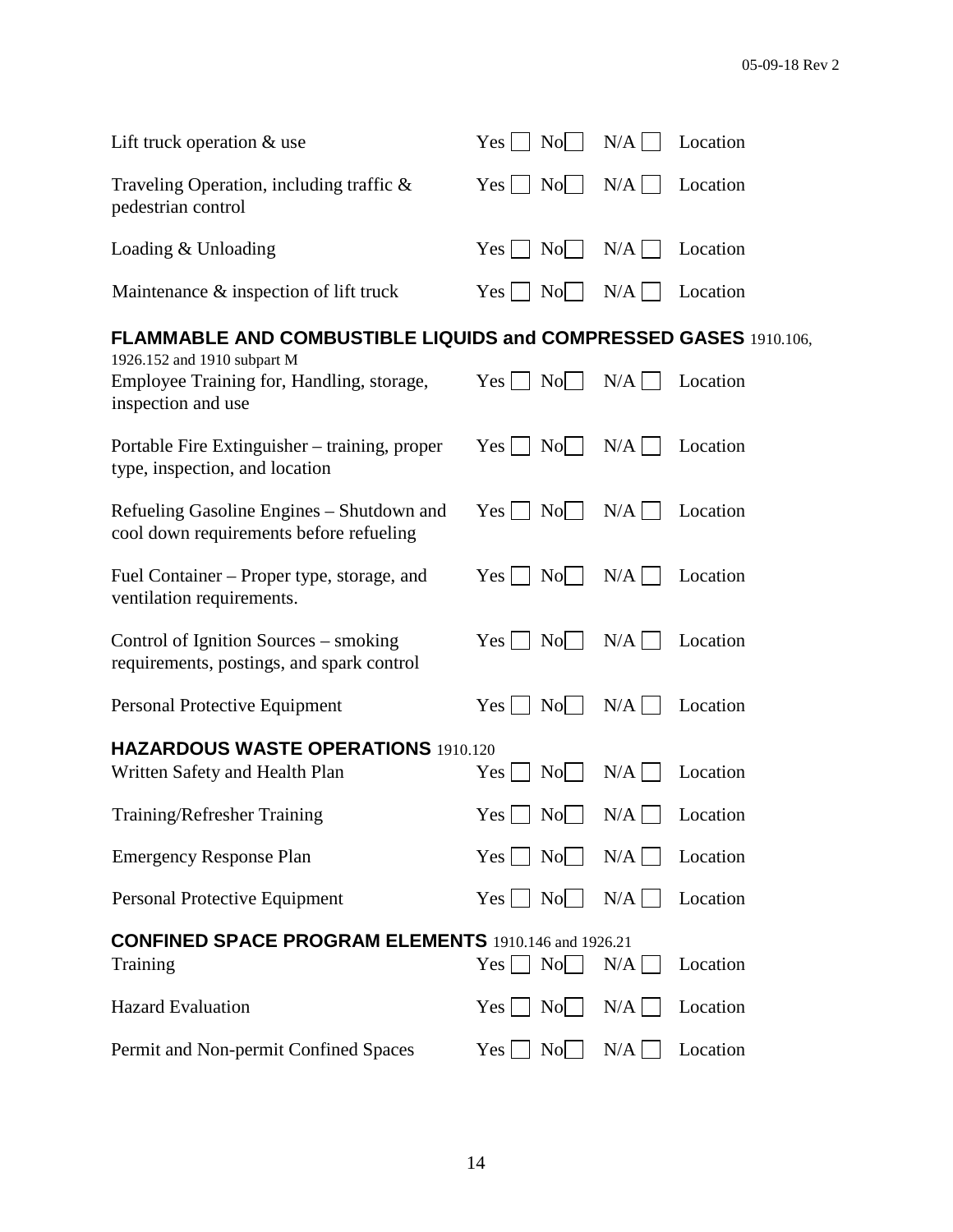| Lift truck operation $&$ use                                                                   | $\vert$ No $\vert$ $\vert$<br>Yes                   | $N/A$ | Location |
|------------------------------------------------------------------------------------------------|-----------------------------------------------------|-------|----------|
| Traveling Operation, including traffic &<br>pedestrian control                                 | $\vert$ No $\vert$ $\vert$<br>$Yes \mid \cdot$      | $N/A$ | Location |
| Loading & Unloading                                                                            | $\vert$ No $\vert$ $\vert$<br>$Yes \mid \mid$       | $N/A$ | Location |
| Maintenance & inspection of lift truck                                                         | No<br>$Yes$                                         | N/A   | Location |
| FLAMMABLE AND COMBUSTIBLE LIQUIDS and COMPRESSED GASES 1910.106,                               |                                                     |       |          |
| 1926.152 and 1910 subpart M<br>Employee Training for, Handling, storage,<br>inspection and use | $\vert$ No $\vert$<br>$Yes \mid \cdot$              | $N/A$ | Location |
| Portable Fire Extinguisher – training, proper<br>type, inspection, and location                | $Yes \mid$<br>$\vert$ No $\vert$ $\vert$            | N/A   | Location |
| Refueling Gasoline Engines – Shutdown and<br>cool down requirements before refueling           | $Yes$    <br>$\vert$ No $\vert$ $\vert$             | N/A   | Location |
| Fuel Container – Proper type, storage, and<br>ventilation requirements.                        | $\vert$ No $\vert$ $\vert$<br>$Yes \mid \mid$       | $N/A$ | Location |
| Control of Ignition Sources – smoking<br>requirements, postings, and spark control             | $\vert$ No $\vert$ $\vert$<br>$Yes$                 | $N/A$ | Location |
| Personal Protective Equipment                                                                  | Yes<br>$\vert$ No $\vert$ $\vert$                   | $N/A$ | Location |
| <b>HAZARDOUS WASTE OPERATIONS 1910.120</b>                                                     |                                                     |       |          |
| Written Safety and Health Plan                                                                 | $\overline{N}$ $\overline{O}$ $\overline{O}$<br>Yes | $N/A$ | Location |
| Training/Refresher Training                                                                    | Yes<br>$No \Box$                                    | N/A   | Location |
| <b>Emergency Response Plan</b>                                                                 | $Yes \tNo$                                          | N/A   | Location |
| Personal Protective Equipment                                                                  | No<br>$Yes \mid \mid$                               | N/A   | Location |
| <b>CONFINED SPACE PROGRAM ELEMENTS</b> 1910.146 and 1926.21<br>Training                        | $Yes \mid \cdot$<br>$\vert$ No $\vert$              | N/A   | Location |
| <b>Hazard Evaluation</b>                                                                       | $\vert$ No $\vert$ $\vert$<br>$Yes \mid \mid$       | N/A   | Location |
| Permit and Non-permit Confined Spaces                                                          | No<br>Yes                                           | N/A   | Location |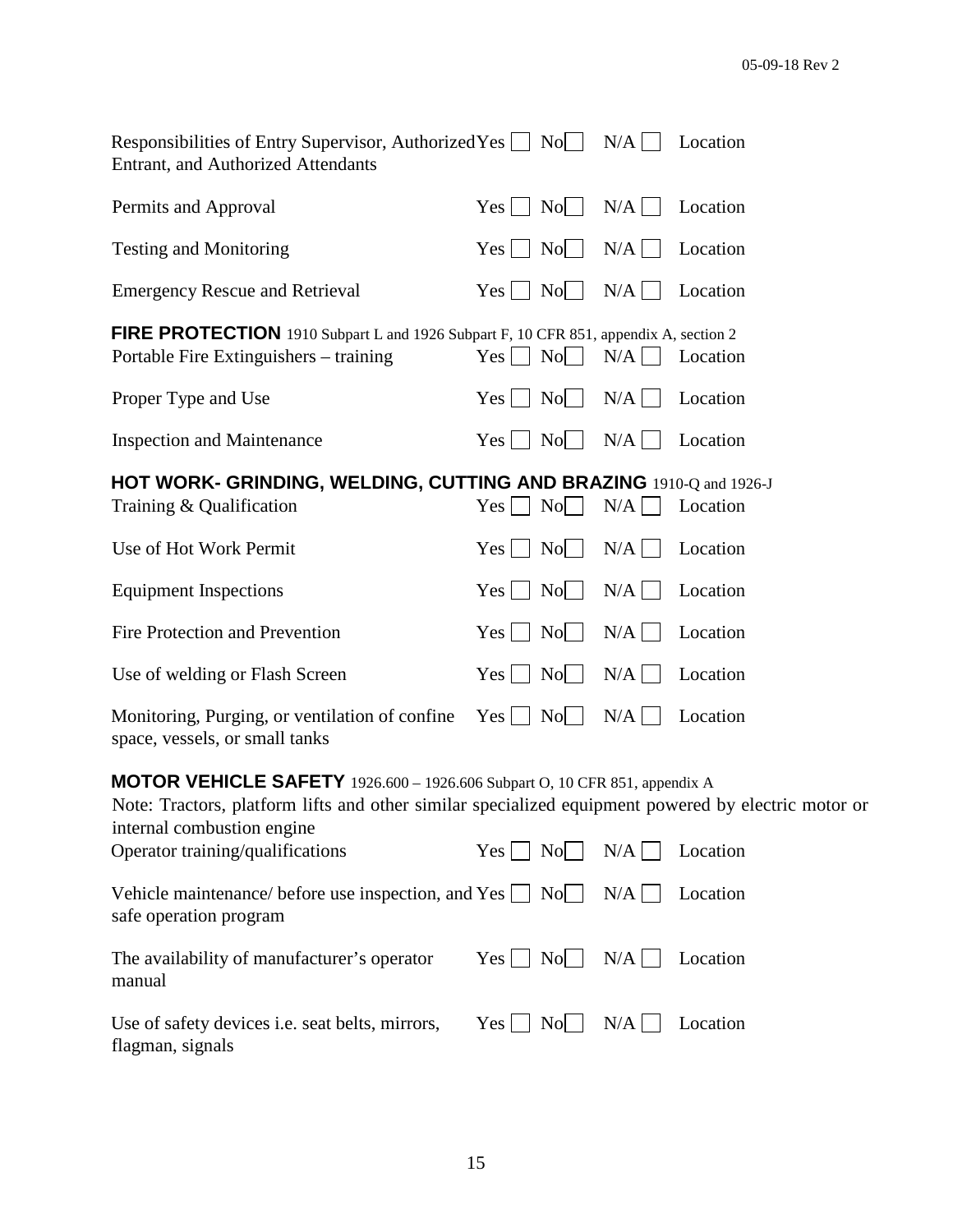| Responsibilities of Entry Supervisor, Authorized Yes $\Box$ No<br><b>Entrant, and Authorized Attendants</b>                    |                                                | N/A        | Location |  |
|--------------------------------------------------------------------------------------------------------------------------------|------------------------------------------------|------------|----------|--|
| Permits and Approval                                                                                                           | No<br>$Yes \mid \mid$                          | N/A        | Location |  |
| <b>Testing and Monitoring</b>                                                                                                  | No<br>$Yes \mid \cdot$                         | $N/A \Box$ | Location |  |
| <b>Emergency Rescue and Retrieval</b>                                                                                          | No<br>$Yes \mid \mid$                          | N/A        | Location |  |
| FIRE PROTECTION 1910 Subpart L and 1926 Subpart F, 10 CFR 851, appendix A, section 2<br>Portable Fire Extinguishers – training | No<br>$Yes \mid \mid$                          | $N/A$      | Location |  |
| Proper Type and Use                                                                                                            | $\vert$ No $\vert$ $\vert$<br>$Yes \mid \cdot$ | N/A        | Location |  |
| <b>Inspection and Maintenance</b>                                                                                              | No<br>$Yes \mid \cdot$                         | N/A        | Location |  |
| HOT WORK- GRINDING, WELDING, CUTTING AND BRAZING 1910-Q and 1926-J                                                             |                                                |            |          |  |
|                                                                                                                                |                                                |            |          |  |
| Training & Qualification                                                                                                       | $\vert$ No $\vert$ $\vert$<br>Yes<br>$\Box$    | $N/A$      | Location |  |
| Use of Hot Work Permit                                                                                                         | No<br>$Yes \mid \mid$                          | N/A        | Location |  |
| <b>Equipment Inspections</b>                                                                                                   | No<br>$Yes \mid \mid$                          | N/A        | Location |  |
| Fire Protection and Prevention                                                                                                 | No<br>$Yes \mid \mid$                          | N/A        | Location |  |
| Use of welding or Flash Screen                                                                                                 | No<br>$Yes \mid \cdot$                         | N/A        | Location |  |
| Monitoring, Purging, or ventilation of confine<br>space, vessels, or small tanks                                               | $Yes \mid \cdot$<br>$\vert$ No $\vert$         | N/A        | Location |  |

### **MOTOR VEHICLE SAFETY** 1926.600 – 1926.606 Subpart O, 10 CFR 851, appendix A

| Note: Tractors, platform lifts and other similar specialized equipment powered by electric motor or<br>internal combustion engine |                                               |       |          |
|-----------------------------------------------------------------------------------------------------------------------------------|-----------------------------------------------|-------|----------|
| Operator training/qualifications                                                                                                  | $Yes \mid \mid$<br>$\vert$ No $\vert$ $\vert$ | $N/A$ | Location |
| Vehicle maintenance/ before use inspection, and $Yes \mid No \mid$<br>safe operation program                                      |                                               | $N/A$ | Location |
| The availability of manufacturer's operator<br>manual                                                                             | $Yes \mid \text{No} \mid$                     | $N/A$ | Location |
| Use of safety devices <i>i.e.</i> seat belts, mirrors,<br>flagman, signals                                                        | Yes    <br>$\overline{N}$ o                   | $N/A$ | Location |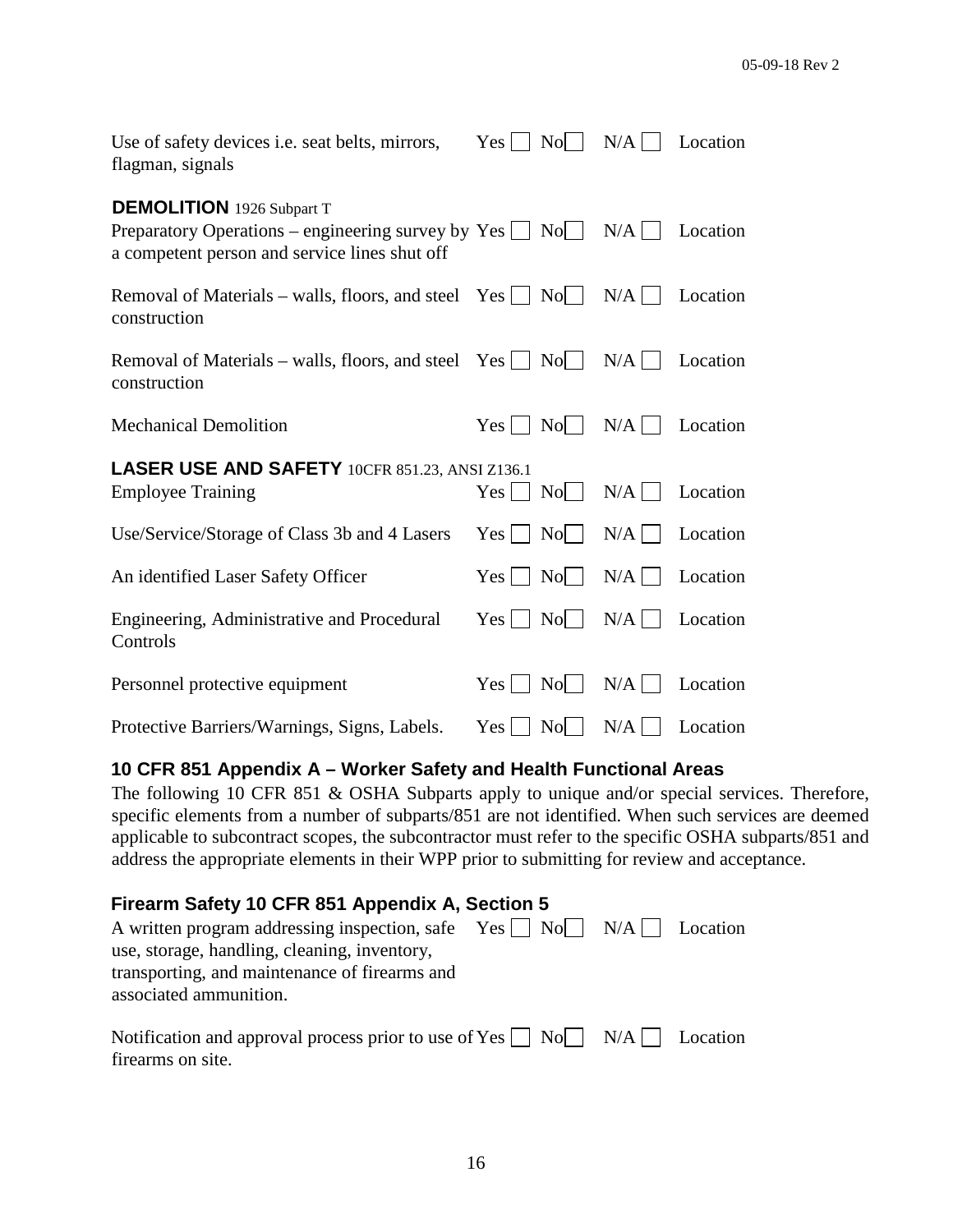| Use of safety devices <i>i.e.</i> seat belts, mirrors,<br>flagman, signals                                                                             | $Yes \mid \mid$ | No                        | N/A   | Location |
|--------------------------------------------------------------------------------------------------------------------------------------------------------|-----------------|---------------------------|-------|----------|
| <b>DEMOLITION</b> 1926 Subpart T<br>Preparatory Operations – engineering survey by $Yes \Box No \Box$<br>a competent person and service lines shut off |                 |                           | N/A   | Location |
| Removal of Materials – walls, floors, and steel Yes $\Box$ No<br>construction                                                                          |                 |                           | N/A   | Location |
| Removal of Materials – walls, floors, and steel Yes $\Box$<br>construction                                                                             |                 | $\overline{N}$ o          | N/A   | Location |
| <b>Mechanical Demolition</b>                                                                                                                           | Yes             | $\overline{N_0}$          | N/A   | Location |
| LASER USE AND SAFETY 10CFR 851.23, ANSI Z136.1<br><b>Employee Training</b>                                                                             | $Yes \mid \mid$ | $\overline{N_0}$          | N/A   | Location |
| Use/Service/Storage of Class 3b and 4 Lasers                                                                                                           |                 |                           |       |          |
|                                                                                                                                                        |                 | $Yes \mid \text{No} \mid$ | $N/A$ | Location |
| An identified Laser Safety Officer                                                                                                                     | $Yes \mid \mid$ | $\overline{N}$ o          | N/A   | Location |
| Engineering, Administrative and Procedural<br>Controls                                                                                                 | $Yes \mid \mid$ | $\overline{N_0}$          | $N/A$ | Location |
| Personnel protective equipment                                                                                                                         | $Yes \mid \mid$ | N <sub>0</sub>            | $N/A$ | Location |

### **10 CFR 851 Appendix A – Worker Safety and Health Functional Areas**

The following 10 CFR 851 & OSHA Subparts apply to unique and/or special services. Therefore, specific elements from a number of subparts/851 are not identified. When such services are deemed applicable to subcontract scopes, the subcontractor must refer to the specific OSHA subparts/851 and address the appropriate elements in their WPP prior to submitting for review and acceptance.

## **Firearm Safety 10 CFR 851 Appendix A, Section 5** A written program addressing inspection, safe Yes  $\Box$  No  $\Box$  N/A  $\Box$  Location use, storage, handling, cleaning, inventory, transporting, and maintenance of firearms and associated ammunition. Notification and approval process prior to use of Yes  $\Box$  No  $\Box$  N/A  $\Box$  Location firearms on site.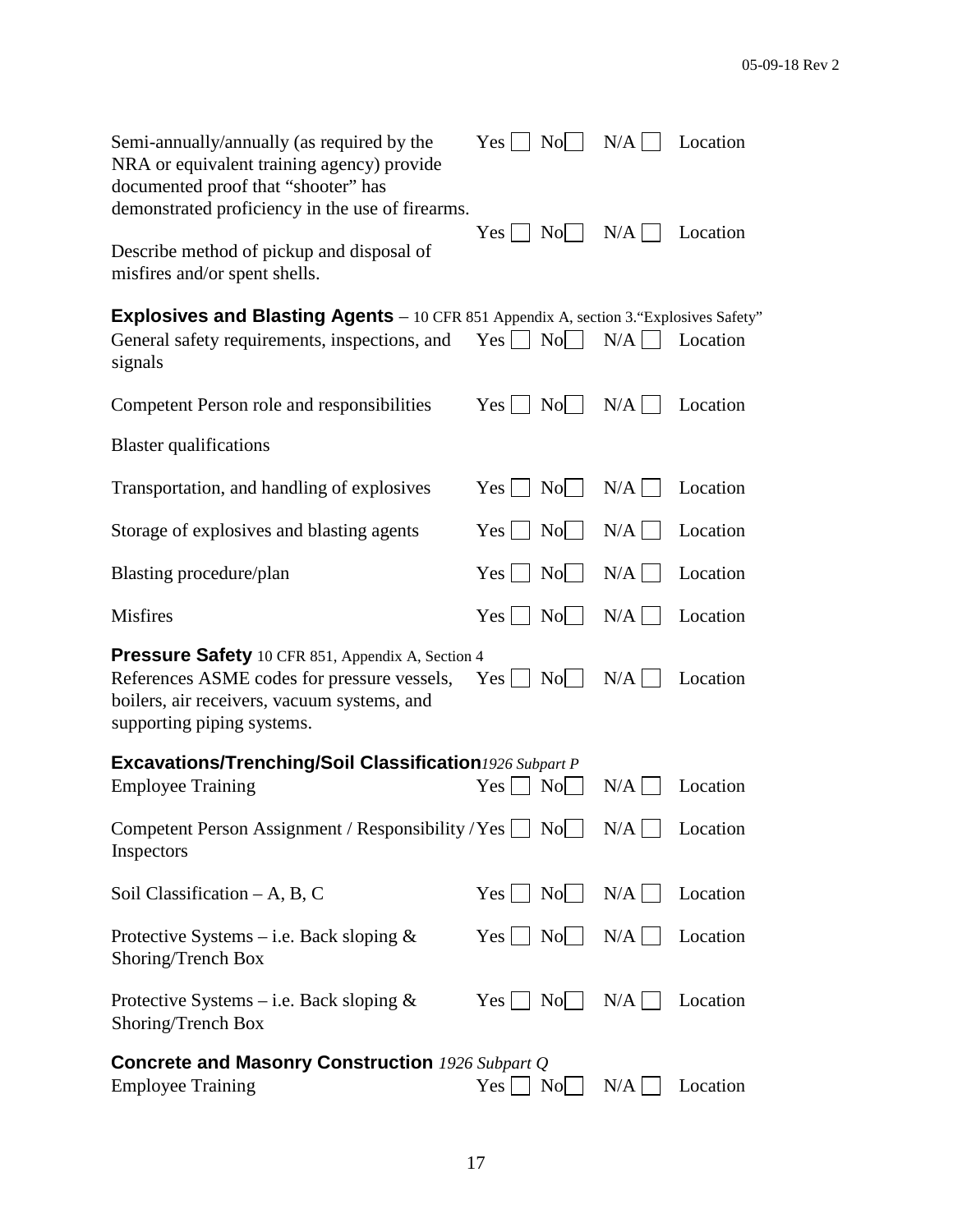| Semi-annually/annually (as required by the<br>NRA or equivalent training agency) provide<br>documented proof that "shooter" has                                               | $Yes \Box$<br>$\vert$ No $\vert$ $\vert$                                       | $N/A$               | Location |
|-------------------------------------------------------------------------------------------------------------------------------------------------------------------------------|--------------------------------------------------------------------------------|---------------------|----------|
| demonstrated proficiency in the use of firearms.<br>Describe method of pickup and disposal of<br>misfires and/or spent shells.                                                | Yes                                                                            | $Nol \mid N/A \mid$ | Location |
| <b>Explosives and Blasting Agents</b> - 10 CFR 851 Appendix A, section 3. "Explosives Safety"<br>General safety requirements, inspections, and<br>signals                     | $Yes \Box No \Box$                                                             | N/A                 | Location |
| Competent Person role and responsibilities                                                                                                                                    | $\begin{array}{c c} \hline \text{No} & \hline \end{array}$<br>$Yes \mid \cdot$ | $N/A$               | Location |
| <b>Blaster</b> qualifications                                                                                                                                                 |                                                                                |                     |          |
| Transportation, and handling of explosives                                                                                                                                    | $\vert$ No $\vert$ $\vert$<br>$Yes \mid \cdot$                                 | $N/A$               | Location |
| Storage of explosives and blasting agents                                                                                                                                     | $\vert$ No $\vert$ $\vert$<br>$Yes \mid \mid$                                  | $N/A$               | Location |
| Blasting procedure/plan                                                                                                                                                       | $Yes \mid \text{No} \mid$                                                      | $N/A$               | Location |
| <b>Misfires</b>                                                                                                                                                               | $Yes \mid \text{No} \mid$                                                      | N/A                 | Location |
| Pressure Safety 10 CFR 851, Appendix A, Section 4<br>References ASME codes for pressure vessels,<br>boilers, air receivers, vacuum systems, and<br>supporting piping systems. | $Yes \mid \text{No} \mid \text{ }$                                             | $N/A$               | Location |
| Excavations/Trenching/Soil Classification1926 Subpart P<br><b>Employee Training</b>                                                                                           | $\rm No$<br>$Yes \mid \mid$                                                    | N/A                 | Location |
| Competent Person Assignment / Responsibility / Yes $\Box$ No $\Box$ N/A $\Box$ Location<br>Inspectors                                                                         |                                                                                |                     |          |
| Soil Classification $-A$ , B, C                                                                                                                                               | $Yes \mid \cdot$                                                               |                     | Location |
| Protective Systems – i.e. Back sloping $\&$<br>Shoring/Trench Box                                                                                                             | $Yes \Box No \Box N/A \Box$                                                    |                     | Location |
| Protective Systems – i.e. Back sloping $\&$<br>Shoring/Trench Box                                                                                                             | $\vert$ No $\vert$ $\vert$<br>$Yes \mid \mid$                                  | $N/A$               | Location |
| <b>Concrete and Masonry Construction</b> 1926 Subpart Q<br><b>Employee Training</b>                                                                                           | Yes<br>N <sub>o</sub>                                                          | N/A                 | Location |